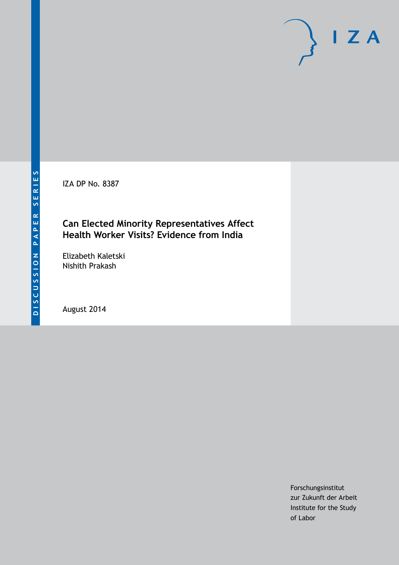IZA DP No. 8387

## **Can Elected Minority Representatives Affect Health Worker Visits? Evidence from India**

Elizabeth Kaletski Nishith Prakash

August 2014

Forschungsinstitut zur Zukunft der Arbeit Institute for the Study of Labor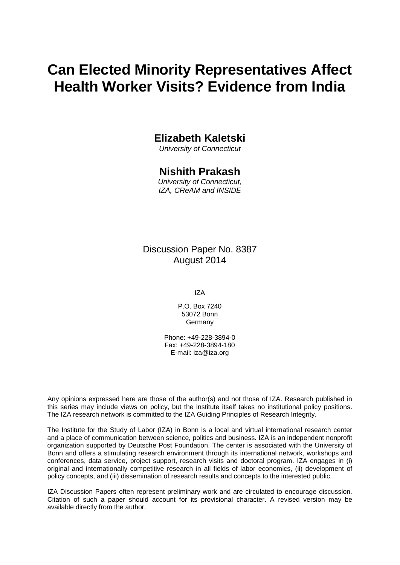# **Can Elected Minority Representatives Affect Health Worker Visits? Evidence from India**

# **Elizabeth Kaletski**

*University of Connecticut*

## **Nishith Prakash**

*University of Connecticut, IZA, CReAM and INSIDE*

Discussion Paper No. 8387 August 2014

IZA

P.O. Box 7240 53072 Bonn Germany

Phone: +49-228-3894-0 Fax: +49-228-3894-180 E-mail: [iza@iza.org](mailto:iza@iza.org)

Any opinions expressed here are those of the author(s) and not those of IZA. Research published in this series may include views on policy, but the institute itself takes no institutional policy positions. The IZA research network is committed to the IZA Guiding Principles of Research Integrity.

The Institute for the Study of Labor (IZA) in Bonn is a local and virtual international research center and a place of communication between science, politics and business. IZA is an independent nonprofit organization supported by Deutsche Post Foundation. The center is associated with the University of Bonn and offers a stimulating research environment through its international network, workshops and conferences, data service, project support, research visits and doctoral program. IZA engages in (i) original and internationally competitive research in all fields of labor economics, (ii) development of policy concepts, and (iii) dissemination of research results and concepts to the interested public.

<span id="page-1-0"></span>IZA Discussion Papers often represent preliminary work and are circulated to encourage discussion. Citation of such a paper should account for its provisional character. A revised version may be available directly from the author.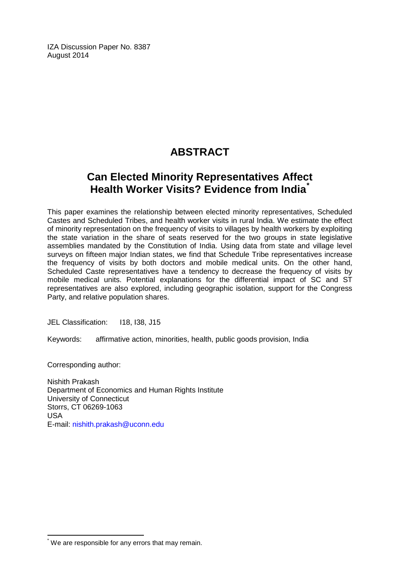IZA Discussion Paper No. 8387 August 2014

# **ABSTRACT**

# **Can Elected Minority Representatives Affect Health Worker Visits? Evidence from India[\\*](#page-1-0)**

This paper examines the relationship between elected minority representatives, Scheduled Castes and Scheduled Tribes, and health worker visits in rural India. We estimate the effect of minority representation on the frequency of visits to villages by health workers by exploiting the state variation in the share of seats reserved for the two groups in state legislative assemblies mandated by the Constitution of India. Using data from state and village level surveys on fifteen major Indian states, we find that Schedule Tribe representatives increase the frequency of visits by both doctors and mobile medical units. On the other hand, Scheduled Caste representatives have a tendency to decrease the frequency of visits by mobile medical units. Potential explanations for the differential impact of SC and ST representatives are also explored, including geographic isolation, support for the Congress Party, and relative population shares.

JEL Classification: I18, I38, J15

Keywords: affirmative action, minorities, health, public goods provision, India

Corresponding author:

Nishith Prakash Department of Economics and Human Rights Institute University of Connecticut Storrs, CT 06269-1063 USA E-mail: [nishith.prakash@uconn.edu](mailto:nishith.prakash@uconn.edu)

\* We are responsible for any errors that may remain.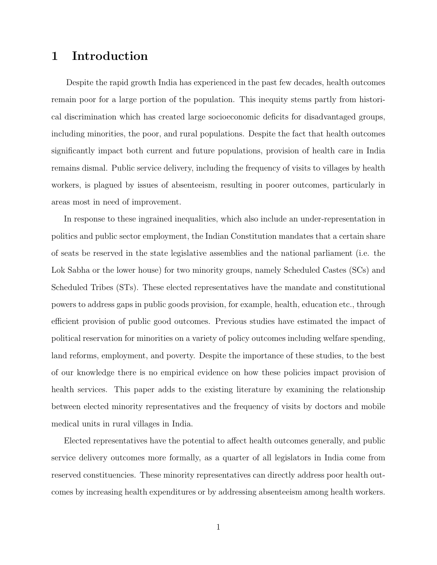# 1 Introduction

Despite the rapid growth India has experienced in the past few decades, health outcomes remain poor for a large portion of the population. This inequity stems partly from historical discrimination which has created large socioeconomic deficits for disadvantaged groups, including minorities, the poor, and rural populations. Despite the fact that health outcomes significantly impact both current and future populations, provision of health care in India remains dismal. Public service delivery, including the frequency of visits to villages by health workers, is plagued by issues of absenteeism, resulting in poorer outcomes, particularly in areas most in need of improvement.

In response to these ingrained inequalities, which also include an under-representation in politics and public sector employment, the Indian Constitution mandates that a certain share of seats be reserved in the state legislative assemblies and the national parliament (i.e. the Lok Sabha or the lower house) for two minority groups, namely Scheduled Castes (SCs) and Scheduled Tribes (STs). These elected representatives have the mandate and constitutional powers to address gaps in public goods provision, for example, health, education etc., through efficient provision of public good outcomes. Previous studies have estimated the impact of political reservation for minorities on a variety of policy outcomes including welfare spending, land reforms, employment, and poverty. Despite the importance of these studies, to the best of our knowledge there is no empirical evidence on how these policies impact provision of health services. This paper adds to the existing literature by examining the relationship between elected minority representatives and the frequency of visits by doctors and mobile medical units in rural villages in India.

Elected representatives have the potential to affect health outcomes generally, and public service delivery outcomes more formally, as a quarter of all legislators in India come from reserved constituencies. These minority representatives can directly address poor health outcomes by increasing health expenditures or by addressing absenteeism among health workers.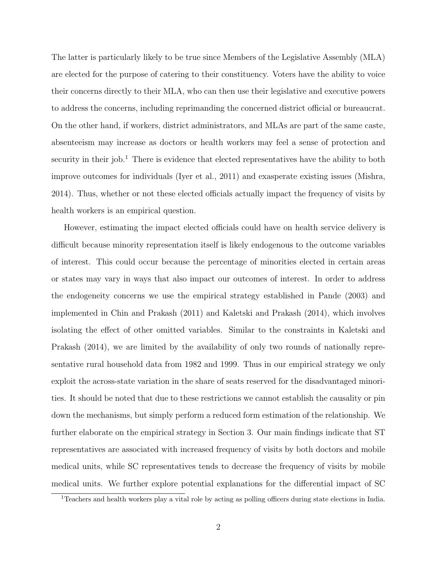The latter is particularly likely to be true since Members of the Legislative Assembly (MLA) are elected for the purpose of catering to their constituency. Voters have the ability to voice their concerns directly to their MLA, who can then use their legislative and executive powers to address the concerns, including reprimanding the concerned district official or bureaucrat. On the other hand, if workers, district administrators, and MLAs are part of the same caste, absenteeism may increase as doctors or health workers may feel a sense of protection and security in their job.<sup>1</sup> There is evidence that elected representatives have the ability to both improve outcomes for individuals (Iyer et al., 2011) and exasperate existing issues (Mishra, 2014). Thus, whether or not these elected officials actually impact the frequency of visits by health workers is an empirical question.

However, estimating the impact elected officials could have on health service delivery is difficult because minority representation itself is likely endogenous to the outcome variables of interest. This could occur because the percentage of minorities elected in certain areas or states may vary in ways that also impact our outcomes of interest. In order to address the endogeneity concerns we use the empirical strategy established in Pande (2003) and implemented in Chin and Prakash (2011) and Kaletski and Prakash (2014), which involves isolating the effect of other omitted variables. Similar to the constraints in Kaletski and Prakash (2014), we are limited by the availability of only two rounds of nationally representative rural household data from 1982 and 1999. Thus in our empirical strategy we only exploit the across-state variation in the share of seats reserved for the disadvantaged minorities. It should be noted that due to these restrictions we cannot establish the causality or pin down the mechanisms, but simply perform a reduced form estimation of the relationship. We further elaborate on the empirical strategy in Section 3. Our main findings indicate that ST representatives are associated with increased frequency of visits by both doctors and mobile medical units, while SC representatives tends to decrease the frequency of visits by mobile medical units. We further explore potential explanations for the differential impact of SC

<sup>1</sup>Teachers and health workers play a vital role by acting as polling officers during state elections in India.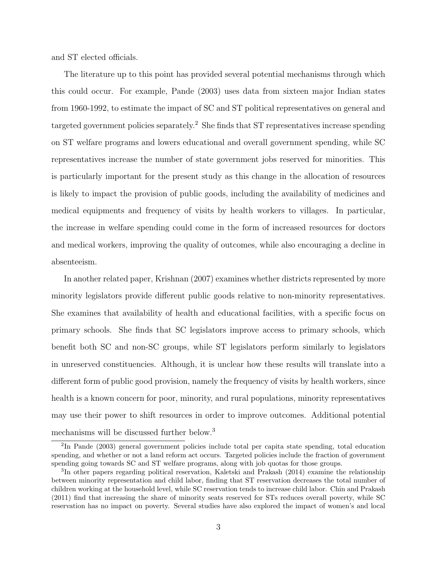and ST elected officials.

The literature up to this point has provided several potential mechanisms through which this could occur. For example, Pande (2003) uses data from sixteen major Indian states from 1960-1992, to estimate the impact of SC and ST political representatives on general and targeted government policies separately.<sup>2</sup> She finds that ST representatives increase spending on ST welfare programs and lowers educational and overall government spending, while SC representatives increase the number of state government jobs reserved for minorities. This is particularly important for the present study as this change in the allocation of resources is likely to impact the provision of public goods, including the availability of medicines and medical equipments and frequency of visits by health workers to villages. In particular, the increase in welfare spending could come in the form of increased resources for doctors and medical workers, improving the quality of outcomes, while also encouraging a decline in absenteeism.

In another related paper, Krishnan (2007) examines whether districts represented by more minority legislators provide different public goods relative to non-minority representatives. She examines that availability of health and educational facilities, with a specific focus on primary schools. She finds that SC legislators improve access to primary schools, which benefit both SC and non-SC groups, while ST legislators perform similarly to legislators in unreserved constituencies. Although, it is unclear how these results will translate into a different form of public good provision, namely the frequency of visits by health workers, since health is a known concern for poor, minority, and rural populations, minority representatives may use their power to shift resources in order to improve outcomes. Additional potential mechanisms will be discussed further below.<sup>3</sup>

<sup>2</sup> In Pande (2003) general government policies include total per capita state spending, total education spending, and whether or not a land reform act occurs. Targeted policies include the fraction of government spending going towards SC and ST welfare programs, along with job quotas for those groups.

<sup>&</sup>lt;sup>3</sup>In other papers regarding political reservation, Kaletski and Prakash (2014) examine the relationship between minority representation and child labor, finding that ST reservation decreases the total number of children working at the household level, while SC reservation tends to increase child labor. Chin and Prakash (2011) find that increasing the share of minority seats reserved for STs reduces overall poverty, while SC reservation has no impact on poverty. Several studies have also explored the impact of women's and local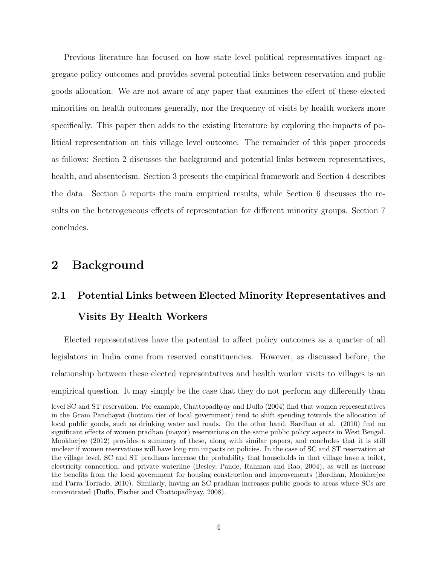Previous literature has focused on how state level political representatives impact aggregate policy outcomes and provides several potential links between reservation and public goods allocation. We are not aware of any paper that examines the effect of these elected minorities on health outcomes generally, nor the frequency of visits by health workers more specifically. This paper then adds to the existing literature by exploring the impacts of political representation on this village level outcome. The remainder of this paper proceeds as follows: Section 2 discusses the background and potential links between representatives, health, and absenteeism. Section 3 presents the empirical framework and Section 4 describes the data. Section 5 reports the main empirical results, while Section 6 discusses the results on the heterogeneous effects of representation for different minority groups. Section 7 concludes.

# 2 Background

# 2.1 Potential Links between Elected Minority Representatives and Visits By Health Workers

Elected representatives have the potential to affect policy outcomes as a quarter of all legislators in India come from reserved constituencies. However, as discussed before, the relationship between these elected representatives and health worker visits to villages is an empirical question. It may simply be the case that they do not perform any differently than

level SC and ST reservation. For example, Chattopadhyay and Duflo (2004) find that women representatives in the Gram Panchayat (bottom tier of local government) tend to shift spending towards the allocation of local public goods, such as drinking water and roads. On the other hand, Bardhan et al. (2010) find no significant effects of women pradhan (mayor) reservations on the same public policy aspects in West Bengal. Mookherjee (2012) provides a summary of these, along with similar papers, and concludes that it is still unclear if women reservations will have long run impacts on policies. In the case of SC and ST reservation at the village level, SC and ST pradhans increase the probability that households in that village have a toilet, electricity connection, and private waterline (Besley, Pande, Rahman and Rao, 2004), as well as increase the benefits from the local government for housing construction and improvements (Bardhan, Mookherjee and Parra Torrado, 2010). Similarly, having an SC pradhan increases public goods to areas where SCs are concentrated (Duflo, Fischer and Chattopadhyay, 2008).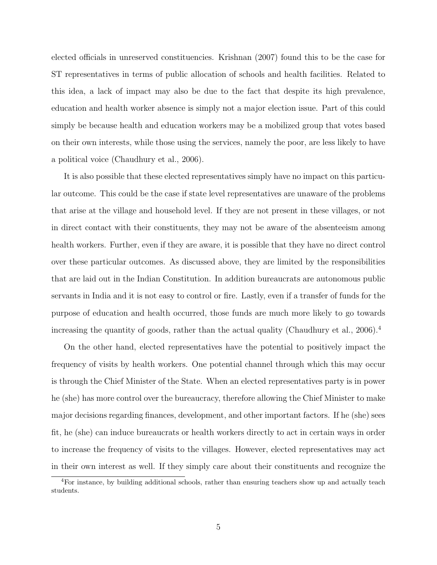elected officials in unreserved constituencies. Krishnan (2007) found this to be the case for ST representatives in terms of public allocation of schools and health facilities. Related to this idea, a lack of impact may also be due to the fact that despite its high prevalence, education and health worker absence is simply not a major election issue. Part of this could simply be because health and education workers may be a mobilized group that votes based on their own interests, while those using the services, namely the poor, are less likely to have a political voice (Chaudhury et al., 2006).

It is also possible that these elected representatives simply have no impact on this particular outcome. This could be the case if state level representatives are unaware of the problems that arise at the village and household level. If they are not present in these villages, or not in direct contact with their constituents, they may not be aware of the absenteeism among health workers. Further, even if they are aware, it is possible that they have no direct control over these particular outcomes. As discussed above, they are limited by the responsibilities that are laid out in the Indian Constitution. In addition bureaucrats are autonomous public servants in India and it is not easy to control or fire. Lastly, even if a transfer of funds for the purpose of education and health occurred, those funds are much more likely to go towards increasing the quantity of goods, rather than the actual quality (Chaudhury et al., 2006).<sup>4</sup>

On the other hand, elected representatives have the potential to positively impact the frequency of visits by health workers. One potential channel through which this may occur is through the Chief Minister of the State. When an elected representatives party is in power he (she) has more control over the bureaucracy, therefore allowing the Chief Minister to make major decisions regarding finances, development, and other important factors. If he (she) sees fit, he (she) can induce bureaucrats or health workers directly to act in certain ways in order to increase the frequency of visits to the villages. However, elected representatives may act in their own interest as well. If they simply care about their constituents and recognize the

<sup>4</sup>For instance, by building additional schools, rather than ensuring teachers show up and actually teach students.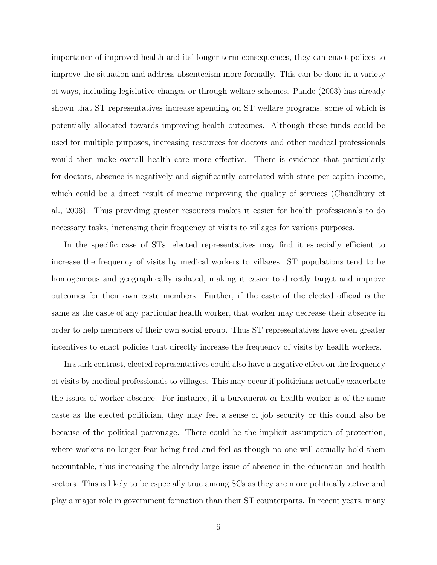importance of improved health and its' longer term consequences, they can enact polices to improve the situation and address absenteeism more formally. This can be done in a variety of ways, including legislative changes or through welfare schemes. Pande (2003) has already shown that ST representatives increase spending on ST welfare programs, some of which is potentially allocated towards improving health outcomes. Although these funds could be used for multiple purposes, increasing resources for doctors and other medical professionals would then make overall health care more effective. There is evidence that particularly for doctors, absence is negatively and significantly correlated with state per capita income, which could be a direct result of income improving the quality of services (Chaudhury et al., 2006). Thus providing greater resources makes it easier for health professionals to do necessary tasks, increasing their frequency of visits to villages for various purposes.

In the specific case of STs, elected representatives may find it especially efficient to increase the frequency of visits by medical workers to villages. ST populations tend to be homogeneous and geographically isolated, making it easier to directly target and improve outcomes for their own caste members. Further, if the caste of the elected official is the same as the caste of any particular health worker, that worker may decrease their absence in order to help members of their own social group. Thus ST representatives have even greater incentives to enact policies that directly increase the frequency of visits by health workers.

In stark contrast, elected representatives could also have a negative effect on the frequency of visits by medical professionals to villages. This may occur if politicians actually exacerbate the issues of worker absence. For instance, if a bureaucrat or health worker is of the same caste as the elected politician, they may feel a sense of job security or this could also be because of the political patronage. There could be the implicit assumption of protection, where workers no longer fear being fired and feel as though no one will actually hold them accountable, thus increasing the already large issue of absence in the education and health sectors. This is likely to be especially true among SCs as they are more politically active and play a major role in government formation than their ST counterparts. In recent years, many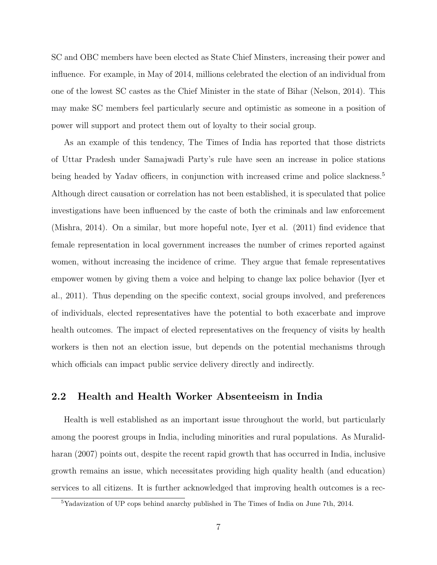SC and OBC members have been elected as State Chief Minsters, increasing their power and influence. For example, in May of 2014, millions celebrated the election of an individual from one of the lowest SC castes as the Chief Minister in the state of Bihar (Nelson, 2014). This may make SC members feel particularly secure and optimistic as someone in a position of power will support and protect them out of loyalty to their social group.

As an example of this tendency, The Times of India has reported that those districts of Uttar Pradesh under Samajwadi Party's rule have seen an increase in police stations being headed by Yadav officers, in conjunction with increased crime and police slackness.<sup>5</sup> Although direct causation or correlation has not been established, it is speculated that police investigations have been influenced by the caste of both the criminals and law enforcement (Mishra, 2014). On a similar, but more hopeful note, Iyer et al. (2011) find evidence that female representation in local government increases the number of crimes reported against women, without increasing the incidence of crime. They argue that female representatives empower women by giving them a voice and helping to change lax police behavior (Iyer et al., 2011). Thus depending on the specific context, social groups involved, and preferences of individuals, elected representatives have the potential to both exacerbate and improve health outcomes. The impact of elected representatives on the frequency of visits by health workers is then not an election issue, but depends on the potential mechanisms through which officials can impact public service delivery directly and indirectly.

## 2.2 Health and Health Worker Absenteeism in India

Health is well established as an important issue throughout the world, but particularly among the poorest groups in India, including minorities and rural populations. As Muralidharan (2007) points out, despite the recent rapid growth that has occurred in India, inclusive growth remains an issue, which necessitates providing high quality health (and education) services to all citizens. It is further acknowledged that improving health outcomes is a rec-

<sup>5</sup>Yadavization of UP cops behind anarchy published in The Times of India on June 7th, 2014.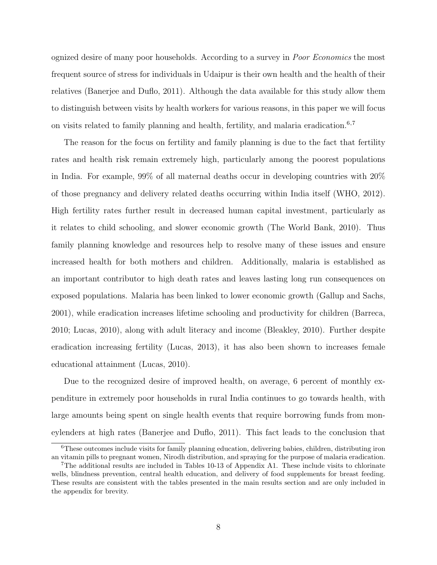ognized desire of many poor households. According to a survey in Poor Economics the most frequent source of stress for individuals in Udaipur is their own health and the health of their relatives (Banerjee and Duflo, 2011). Although the data available for this study allow them to distinguish between visits by health workers for various reasons, in this paper we will focus on visits related to family planning and health, fertility, and malaria eradication.<sup>6,7</sup>

The reason for the focus on fertility and family planning is due to the fact that fertility rates and health risk remain extremely high, particularly among the poorest populations in India. For example, 99% of all maternal deaths occur in developing countries with 20% of those pregnancy and delivery related deaths occurring within India itself (WHO, 2012). High fertility rates further result in decreased human capital investment, particularly as it relates to child schooling, and slower economic growth (The World Bank, 2010). Thus family planning knowledge and resources help to resolve many of these issues and ensure increased health for both mothers and children. Additionally, malaria is established as an important contributor to high death rates and leaves lasting long run consequences on exposed populations. Malaria has been linked to lower economic growth (Gallup and Sachs, 2001), while eradication increases lifetime schooling and productivity for children (Barreca, 2010; Lucas, 2010), along with adult literacy and income (Bleakley, 2010). Further despite eradication increasing fertility (Lucas, 2013), it has also been shown to increases female educational attainment (Lucas, 2010).

Due to the recognized desire of improved health, on average, 6 percent of monthly expenditure in extremely poor households in rural India continues to go towards health, with large amounts being spent on single health events that require borrowing funds from moneylenders at high rates (Banerjee and Duflo, 2011). This fact leads to the conclusion that

<sup>6</sup>These outcomes include visits for family planning education, delivering babies, children, distributing iron an vitamin pills to pregnant women, Nirodh distribution, and spraying for the purpose of malaria eradication.

<sup>7</sup>The additional results are included in Tables 10-13 of Appendix A1. These include visits to chlorinate wells, blindness prevention, central health education, and delivery of food supplements for breast feeding. These results are consistent with the tables presented in the main results section and are only included in the appendix for brevity.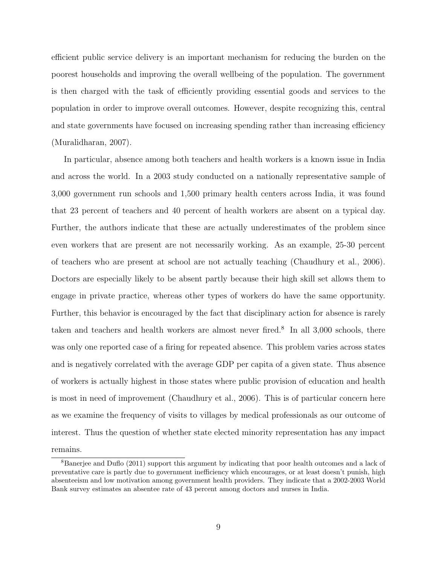efficient public service delivery is an important mechanism for reducing the burden on the poorest households and improving the overall wellbeing of the population. The government is then charged with the task of efficiently providing essential goods and services to the population in order to improve overall outcomes. However, despite recognizing this, central and state governments have focused on increasing spending rather than increasing efficiency (Muralidharan, 2007).

In particular, absence among both teachers and health workers is a known issue in India and across the world. In a 2003 study conducted on a nationally representative sample of 3,000 government run schools and 1,500 primary health centers across India, it was found that 23 percent of teachers and 40 percent of health workers are absent on a typical day. Further, the authors indicate that these are actually underestimates of the problem since even workers that are present are not necessarily working. As an example, 25-30 percent of teachers who are present at school are not actually teaching (Chaudhury et al., 2006). Doctors are especially likely to be absent partly because their high skill set allows them to engage in private practice, whereas other types of workers do have the same opportunity. Further, this behavior is encouraged by the fact that disciplinary action for absence is rarely taken and teachers and health workers are almost never fired.<sup>8</sup> In all 3,000 schools, there was only one reported case of a firing for repeated absence. This problem varies across states and is negatively correlated with the average GDP per capita of a given state. Thus absence of workers is actually highest in those states where public provision of education and health is most in need of improvement (Chaudhury et al., 2006). This is of particular concern here as we examine the frequency of visits to villages by medical professionals as our outcome of interest. Thus the question of whether state elected minority representation has any impact remains.

<sup>8</sup>Banerjee and Duflo (2011) support this argument by indicating that poor health outcomes and a lack of preventative care is partly due to government inefficiency which encourages, or at least doesn't punish, high absenteeism and low motivation among government health providers. They indicate that a 2002-2003 World Bank survey estimates an absentee rate of 43 percent among doctors and nurses in India.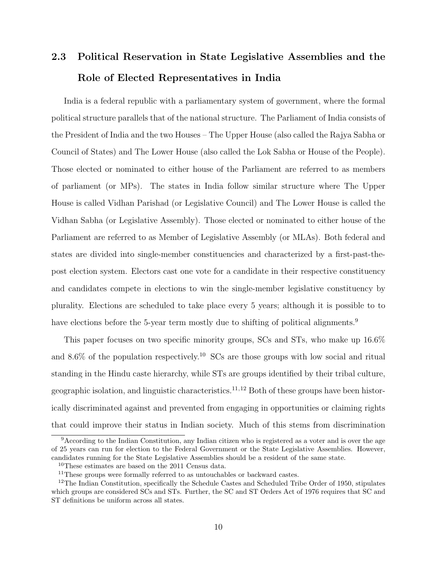# 2.3 Political Reservation in State Legislative Assemblies and the Role of Elected Representatives in India

India is a federal republic with a parliamentary system of government, where the formal political structure parallels that of the national structure. The Parliament of India consists of the President of India and the two Houses – The Upper House (also called the Rajya Sabha or Council of States) and The Lower House (also called the Lok Sabha or House of the People). Those elected or nominated to either house of the Parliament are referred to as members of parliament (or MPs). The states in India follow similar structure where The Upper House is called Vidhan Parishad (or Legislative Council) and The Lower House is called the Vidhan Sabha (or Legislative Assembly). Those elected or nominated to either house of the Parliament are referred to as Member of Legislative Assembly (or MLAs). Both federal and states are divided into single-member constituencies and characterized by a first-past-thepost election system. Electors cast one vote for a candidate in their respective constituency and candidates compete in elections to win the single-member legislative constituency by plurality. Elections are scheduled to take place every 5 years; although it is possible to to have elections before the 5-year term mostly due to shifting of political alignments.<sup>9</sup>

This paper focuses on two specific minority groups, SCs and STs, who make up 16.6% and  $8.6\%$  of the population respectively.<sup>10</sup> SCs are those groups with low social and ritual standing in the Hindu caste hierarchy, while STs are groups identified by their tribal culture, geographic isolation, and linguistic characteristics.<sup>11,12</sup> Both of these groups have been historically discriminated against and prevented from engaging in opportunities or claiming rights that could improve their status in Indian society. Much of this stems from discrimination

 $9$ According to the Indian Constitution, any Indian citizen who is registered as a voter and is over the age of 25 years can run for election to the Federal Government or the State Legislative Assemblies. However, candidates running for the State Legislative Assemblies should be a resident of the same state.

<sup>10</sup>These estimates are based on the 2011 Census data.

<sup>&</sup>lt;sup>11</sup>These groups were formally referred to as untouchables or backward castes.

<sup>&</sup>lt;sup>12</sup>The Indian Constitution, specifically the Schedule Castes and Scheduled Tribe Order of 1950, stipulates which groups are considered SCs and STs. Further, the SC and ST Orders Act of 1976 requires that SC and ST definitions be uniform across all states.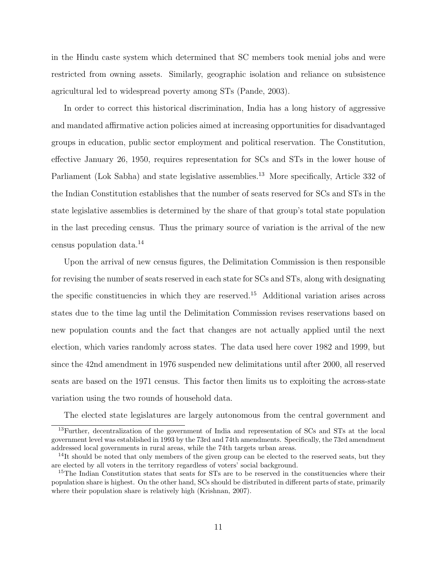in the Hindu caste system which determined that SC members took menial jobs and were restricted from owning assets. Similarly, geographic isolation and reliance on subsistence agricultural led to widespread poverty among STs (Pande, 2003).

In order to correct this historical discrimination, India has a long history of aggressive and mandated affirmative action policies aimed at increasing opportunities for disadvantaged groups in education, public sector employment and political reservation. The Constitution, effective January 26, 1950, requires representation for SCs and STs in the lower house of Parliament (Lok Sabha) and state legislative assemblies.<sup>13</sup> More specifically, Article 332 of the Indian Constitution establishes that the number of seats reserved for SCs and STs in the state legislative assemblies is determined by the share of that group's total state population in the last preceding census. Thus the primary source of variation is the arrival of the new census population data.<sup>14</sup>

Upon the arrival of new census figures, the Delimitation Commission is then responsible for revising the number of seats reserved in each state for SCs and STs, along with designating the specific constituencies in which they are reserved.<sup>15</sup> Additional variation arises across states due to the time lag until the Delimitation Commission revises reservations based on new population counts and the fact that changes are not actually applied until the next election, which varies randomly across states. The data used here cover 1982 and 1999, but since the 42nd amendment in 1976 suspended new delimitations until after 2000, all reserved seats are based on the 1971 census. This factor then limits us to exploiting the across-state variation using the two rounds of household data.

The elected state legislatures are largely autonomous from the central government and

<sup>13</sup>Further, decentralization of the government of India and representation of SCs and STs at the local government level was established in 1993 by the 73rd and 74th amendments. Specifically, the 73rd amendment addressed local governments in rural areas, while the 74th targets urban areas.

 $14$ It should be noted that only members of the given group can be elected to the reserved seats, but they are elected by all voters in the territory regardless of voters' social background.

<sup>&</sup>lt;sup>15</sup>The Indian Constitution states that seats for STs are to be reserved in the constituencies where their population share is highest. On the other hand, SCs should be distributed in different parts of state, primarily where their population share is relatively high (Krishnan, 2007).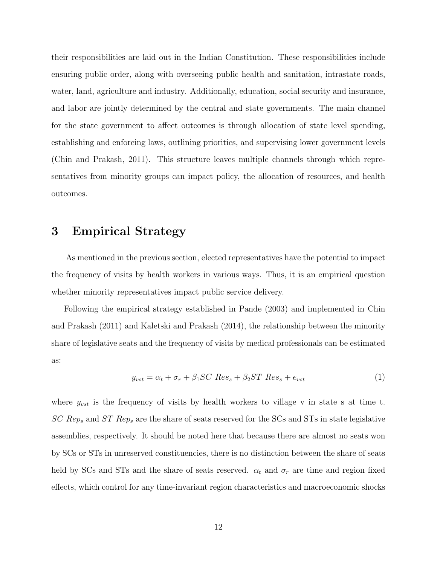their responsibilities are laid out in the Indian Constitution. These responsibilities include ensuring public order, along with overseeing public health and sanitation, intrastate roads, water, land, agriculture and industry. Additionally, education, social security and insurance, and labor are jointly determined by the central and state governments. The main channel for the state government to affect outcomes is through allocation of state level spending, establishing and enforcing laws, outlining priorities, and supervising lower government levels (Chin and Prakash, 2011). This structure leaves multiple channels through which representatives from minority groups can impact policy, the allocation of resources, and health outcomes.

## 3 Empirical Strategy

As mentioned in the previous section, elected representatives have the potential to impact the frequency of visits by health workers in various ways. Thus, it is an empirical question whether minority representatives impact public service delivery.

Following the empirical strategy established in Pande (2003) and implemented in Chin and Prakash (2011) and Kaletski and Prakash (2014), the relationship between the minority share of legislative seats and the frequency of visits by medical professionals can be estimated as:

$$
y_{vst} = \alpha_t + \sigma_r + \beta_1 SC Res_s + \beta_2 ST Res_s + e_{vst}
$$
 (1)

where  $y_{vst}$  is the frequency of visits by health workers to village v in state s at time t.  $SC Rep_s$  and  $ST Rep_s$  are the share of seats reserved for the SCs and STs in state legislative assemblies, respectively. It should be noted here that because there are almost no seats won by SCs or STs in unreserved constituencies, there is no distinction between the share of seats held by SCs and STs and the share of seats reserved.  $\alpha_t$  and  $\sigma_r$  are time and region fixed effects, which control for any time-invariant region characteristics and macroeconomic shocks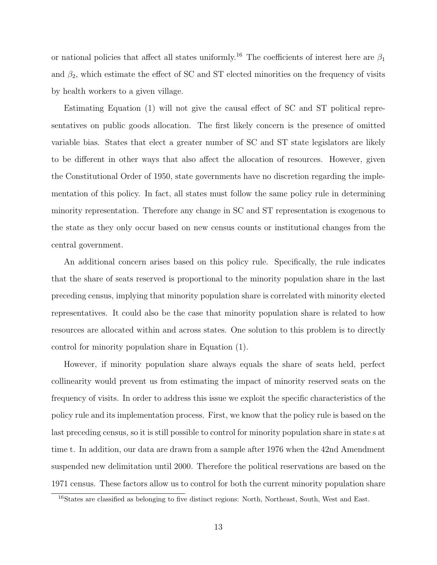or national policies that affect all states uniformly.<sup>16</sup> The coefficients of interest here are  $\beta_1$ and  $\beta_2$ , which estimate the effect of SC and ST elected minorities on the frequency of visits by health workers to a given village.

Estimating Equation (1) will not give the causal effect of SC and ST political representatives on public goods allocation. The first likely concern is the presence of omitted variable bias. States that elect a greater number of SC and ST state legislators are likely to be different in other ways that also affect the allocation of resources. However, given the Constitutional Order of 1950, state governments have no discretion regarding the implementation of this policy. In fact, all states must follow the same policy rule in determining minority representation. Therefore any change in SC and ST representation is exogenous to the state as they only occur based on new census counts or institutional changes from the central government.

An additional concern arises based on this policy rule. Specifically, the rule indicates that the share of seats reserved is proportional to the minority population share in the last preceding census, implying that minority population share is correlated with minority elected representatives. It could also be the case that minority population share is related to how resources are allocated within and across states. One solution to this problem is to directly control for minority population share in Equation (1).

However, if minority population share always equals the share of seats held, perfect collinearity would prevent us from estimating the impact of minority reserved seats on the frequency of visits. In order to address this issue we exploit the specific characteristics of the policy rule and its implementation process. First, we know that the policy rule is based on the last preceding census, so it is still possible to control for minority population share in state s at time t. In addition, our data are drawn from a sample after 1976 when the 42nd Amendment suspended new delimitation until 2000. Therefore the political reservations are based on the 1971 census. These factors allow us to control for both the current minority population share

<sup>&</sup>lt;sup>16</sup>States are classified as belonging to five distinct regions: North, Northeast, South, West and East.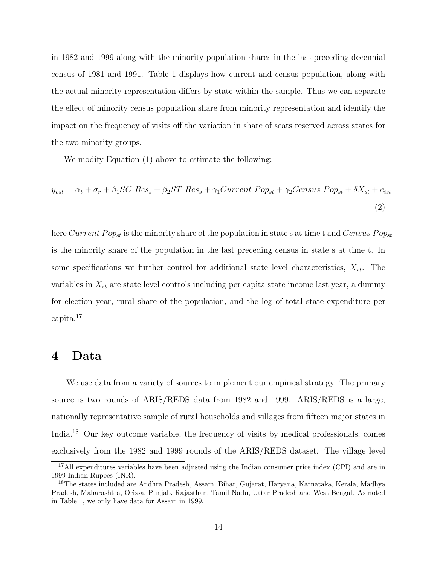in 1982 and 1999 along with the minority population shares in the last preceding decennial census of 1981 and 1991. Table 1 displays how current and census population, along with the actual minority representation differs by state within the sample. Thus we can separate the effect of minority census population share from minority representation and identify the impact on the frequency of visits off the variation in share of seats reserved across states for the two minority groups.

We modify Equation (1) above to estimate the following:

$$
y_{vst} = \alpha_t + \sigma_r + \beta_1 SC Res_s + \beta_2 ST Res_s + \gamma_1 Current Pop_{st} + \gamma_2 Census Pop_{st} + \delta X_{st} + e_{ist}
$$
\n
$$
\tag{2}
$$

here Current Pop<sub>st</sub> is the minority share of the population in state s at time t and Census Pop<sub>st</sub> is the minority share of the population in the last preceding census in state s at time t. In some specifications we further control for additional state level characteristics,  $X_{st}$ . The variables in  $X_{st}$  are state level controls including per capita state income last year, a dummy for election year, rural share of the population, and the log of total state expenditure per capita.<sup>17</sup>

## 4 Data

We use data from a variety of sources to implement our empirical strategy. The primary source is two rounds of ARIS/REDS data from 1982 and 1999. ARIS/REDS is a large, nationally representative sample of rural households and villages from fifteen major states in India.<sup>18</sup> Our key outcome variable, the frequency of visits by medical professionals, comes exclusively from the 1982 and 1999 rounds of the ARIS/REDS dataset. The village level

<sup>&</sup>lt;sup>17</sup>All expenditures variables have been adjusted using the Indian consumer price index (CPI) and are in 1999 Indian Rupees (INR).

<sup>&</sup>lt;sup>18</sup>The states included are Andhra Pradesh, Assam, Bihar, Gujarat, Haryana, Karnataka, Kerala, Madhya Pradesh, Maharashtra, Orissa, Punjab, Rajasthan, Tamil Nadu, Uttar Pradesh and West Bengal. As noted in Table 1, we only have data for Assam in 1999.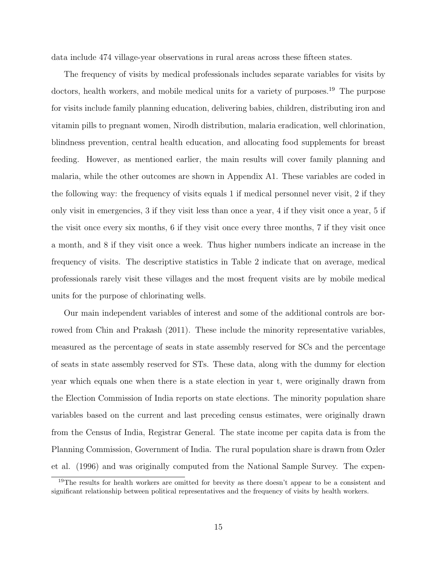data include 474 village-year observations in rural areas across these fifteen states.

The frequency of visits by medical professionals includes separate variables for visits by doctors, health workers, and mobile medical units for a variety of purposes.<sup>19</sup> The purpose for visits include family planning education, delivering babies, children, distributing iron and vitamin pills to pregnant women, Nirodh distribution, malaria eradication, well chlorination, blindness prevention, central health education, and allocating food supplements for breast feeding. However, as mentioned earlier, the main results will cover family planning and malaria, while the other outcomes are shown in Appendix A1. These variables are coded in the following way: the frequency of visits equals 1 if medical personnel never visit, 2 if they only visit in emergencies, 3 if they visit less than once a year, 4 if they visit once a year, 5 if the visit once every six months, 6 if they visit once every three months, 7 if they visit once a month, and 8 if they visit once a week. Thus higher numbers indicate an increase in the frequency of visits. The descriptive statistics in Table 2 indicate that on average, medical professionals rarely visit these villages and the most frequent visits are by mobile medical units for the purpose of chlorinating wells.

Our main independent variables of interest and some of the additional controls are borrowed from Chin and Prakash (2011). These include the minority representative variables, measured as the percentage of seats in state assembly reserved for SCs and the percentage of seats in state assembly reserved for STs. These data, along with the dummy for election year which equals one when there is a state election in year t, were originally drawn from the Election Commission of India reports on state elections. The minority population share variables based on the current and last preceding census estimates, were originally drawn from the Census of India, Registrar General. The state income per capita data is from the Planning Commission, Government of India. The rural population share is drawn from Ozler et al. (1996) and was originally computed from the National Sample Survey. The expen-

<sup>&</sup>lt;sup>19</sup>The results for health workers are omitted for brevity as there doesn't appear to be a consistent and significant relationship between political representatives and the frequency of visits by health workers.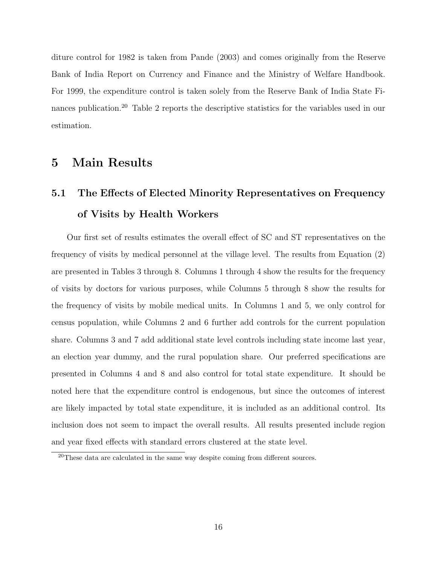diture control for 1982 is taken from Pande (2003) and comes originally from the Reserve Bank of India Report on Currency and Finance and the Ministry of Welfare Handbook. For 1999, the expenditure control is taken solely from the Reserve Bank of India State Finances publication.<sup>20</sup> Table 2 reports the descriptive statistics for the variables used in our estimation.

# 5 Main Results

# 5.1 The Effects of Elected Minority Representatives on Frequency of Visits by Health Workers

Our first set of results estimates the overall effect of SC and ST representatives on the frequency of visits by medical personnel at the village level. The results from Equation (2) are presented in Tables 3 through 8. Columns 1 through 4 show the results for the frequency of visits by doctors for various purposes, while Columns 5 through 8 show the results for the frequency of visits by mobile medical units. In Columns 1 and 5, we only control for census population, while Columns 2 and 6 further add controls for the current population share. Columns 3 and 7 add additional state level controls including state income last year, an election year dummy, and the rural population share. Our preferred specifications are presented in Columns 4 and 8 and also control for total state expenditure. It should be noted here that the expenditure control is endogenous, but since the outcomes of interest are likely impacted by total state expenditure, it is included as an additional control. Its inclusion does not seem to impact the overall results. All results presented include region and year fixed effects with standard errors clustered at the state level.

 $20$ These data are calculated in the same way despite coming from different sources.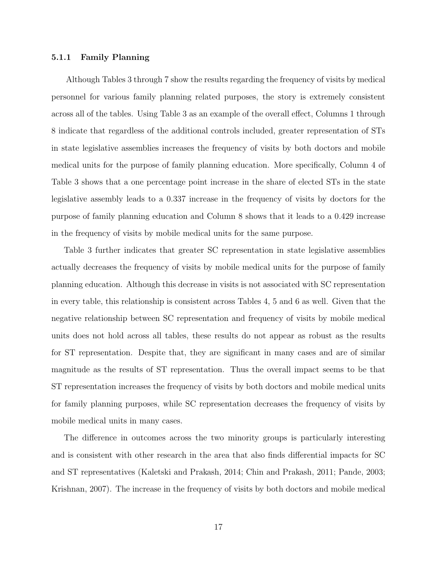#### 5.1.1 Family Planning

Although Tables 3 through 7 show the results regarding the frequency of visits by medical personnel for various family planning related purposes, the story is extremely consistent across all of the tables. Using Table 3 as an example of the overall effect, Columns 1 through 8 indicate that regardless of the additional controls included, greater representation of STs in state legislative assemblies increases the frequency of visits by both doctors and mobile medical units for the purpose of family planning education. More specifically, Column 4 of Table 3 shows that a one percentage point increase in the share of elected STs in the state legislative assembly leads to a 0.337 increase in the frequency of visits by doctors for the purpose of family planning education and Column 8 shows that it leads to a 0.429 increase in the frequency of visits by mobile medical units for the same purpose.

Table 3 further indicates that greater SC representation in state legislative assemblies actually decreases the frequency of visits by mobile medical units for the purpose of family planning education. Although this decrease in visits is not associated with SC representation in every table, this relationship is consistent across Tables 4, 5 and 6 as well. Given that the negative relationship between SC representation and frequency of visits by mobile medical units does not hold across all tables, these results do not appear as robust as the results for ST representation. Despite that, they are significant in many cases and are of similar magnitude as the results of ST representation. Thus the overall impact seems to be that ST representation increases the frequency of visits by both doctors and mobile medical units for family planning purposes, while SC representation decreases the frequency of visits by mobile medical units in many cases.

The difference in outcomes across the two minority groups is particularly interesting and is consistent with other research in the area that also finds differential impacts for SC and ST representatives (Kaletski and Prakash, 2014; Chin and Prakash, 2011; Pande, 2003; Krishnan, 2007). The increase in the frequency of visits by both doctors and mobile medical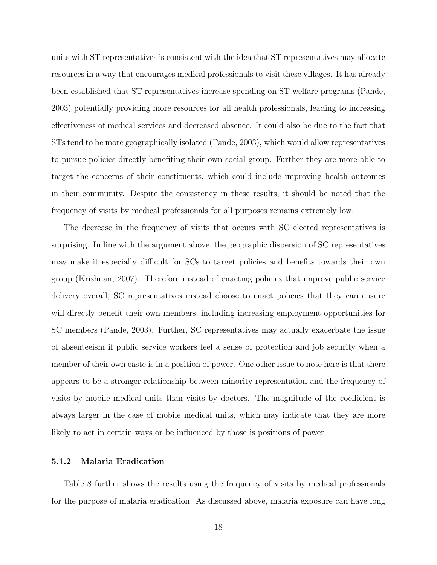units with ST representatives is consistent with the idea that ST representatives may allocate resources in a way that encourages medical professionals to visit these villages. It has already been established that ST representatives increase spending on ST welfare programs (Pande, 2003) potentially providing more resources for all health professionals, leading to increasing effectiveness of medical services and decreased absence. It could also be due to the fact that STs tend to be more geographically isolated (Pande, 2003), which would allow representatives to pursue policies directly benefiting their own social group. Further they are more able to target the concerns of their constituents, which could include improving health outcomes in their community. Despite the consistency in these results, it should be noted that the frequency of visits by medical professionals for all purposes remains extremely low.

The decrease in the frequency of visits that occurs with SC elected representatives is surprising. In line with the argument above, the geographic dispersion of SC representatives may make it especially difficult for SCs to target policies and benefits towards their own group (Krishnan, 2007). Therefore instead of enacting policies that improve public service delivery overall, SC representatives instead choose to enact policies that they can ensure will directly benefit their own members, including increasing employment opportunities for SC members (Pande, 2003). Further, SC representatives may actually exacerbate the issue of absenteeism if public service workers feel a sense of protection and job security when a member of their own caste is in a position of power. One other issue to note here is that there appears to be a stronger relationship between minority representation and the frequency of visits by mobile medical units than visits by doctors. The magnitude of the coefficient is always larger in the case of mobile medical units, which may indicate that they are more likely to act in certain ways or be influenced by those is positions of power.

#### 5.1.2 Malaria Eradication

Table 8 further shows the results using the frequency of visits by medical professionals for the purpose of malaria eradication. As discussed above, malaria exposure can have long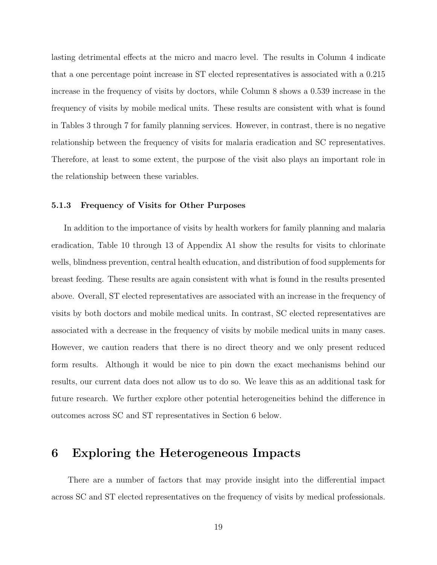lasting detrimental effects at the micro and macro level. The results in Column 4 indicate that a one percentage point increase in ST elected representatives is associated with a 0.215 increase in the frequency of visits by doctors, while Column 8 shows a 0.539 increase in the frequency of visits by mobile medical units. These results are consistent with what is found in Tables 3 through 7 for family planning services. However, in contrast, there is no negative relationship between the frequency of visits for malaria eradication and SC representatives. Therefore, at least to some extent, the purpose of the visit also plays an important role in the relationship between these variables.

#### 5.1.3 Frequency of Visits for Other Purposes

In addition to the importance of visits by health workers for family planning and malaria eradication, Table 10 through 13 of Appendix A1 show the results for visits to chlorinate wells, blindness prevention, central health education, and distribution of food supplements for breast feeding. These results are again consistent with what is found in the results presented above. Overall, ST elected representatives are associated with an increase in the frequency of visits by both doctors and mobile medical units. In contrast, SC elected representatives are associated with a decrease in the frequency of visits by mobile medical units in many cases. However, we caution readers that there is no direct theory and we only present reduced form results. Although it would be nice to pin down the exact mechanisms behind our results, our current data does not allow us to do so. We leave this as an additional task for future research. We further explore other potential heterogeneities behind the difference in outcomes across SC and ST representatives in Section 6 below.

## 6 Exploring the Heterogeneous Impacts

There are a number of factors that may provide insight into the differential impact across SC and ST elected representatives on the frequency of visits by medical professionals.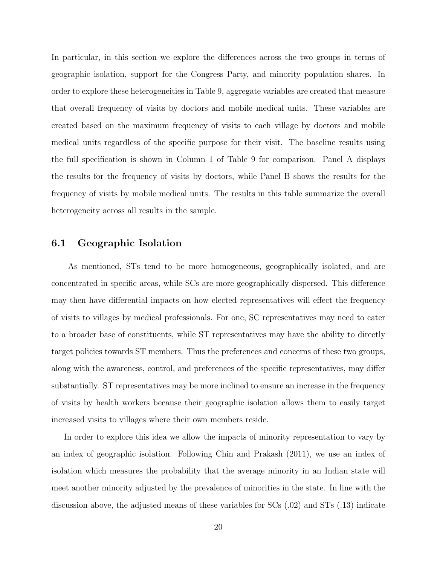In particular, in this section we explore the differences across the two groups in terms of geographic isolation, support for the Congress Party, and minority population shares. In order to explore these heterogeneities in Table 9, aggregate variables are created that measure that overall frequency of visits by doctors and mobile medical units. These variables are created based on the maximum frequency of visits to each village by doctors and mobile medical units regardless of the specific purpose for their visit. The baseline results using the full specification is shown in Column 1 of Table 9 for comparison. Panel A displays the results for the frequency of visits by doctors, while Panel B shows the results for the frequency of visits by mobile medical units. The results in this table summarize the overall heterogeneity across all results in the sample.

### 6.1 Geographic Isolation

As mentioned, STs tend to be more homogeneous, geographically isolated, and are concentrated in specific areas, while SCs are more geographically dispersed. This difference may then have differential impacts on how elected representatives will effect the frequency of visits to villages by medical professionals. For one, SC representatives may need to cater to a broader base of constituents, while ST representatives may have the ability to directly target policies towards ST members. Thus the preferences and concerns of these two groups, along with the awareness, control, and preferences of the specific representatives, may differ substantially. ST representatives may be more inclined to ensure an increase in the frequency of visits by health workers because their geographic isolation allows them to easily target increased visits to villages where their own members reside.

In order to explore this idea we allow the impacts of minority representation to vary by an index of geographic isolation. Following Chin and Prakash (2011), we use an index of isolation which measures the probability that the average minority in an Indian state will meet another minority adjusted by the prevalence of minorities in the state. In line with the discussion above, the adjusted means of these variables for SCs (.02) and STs (.13) indicate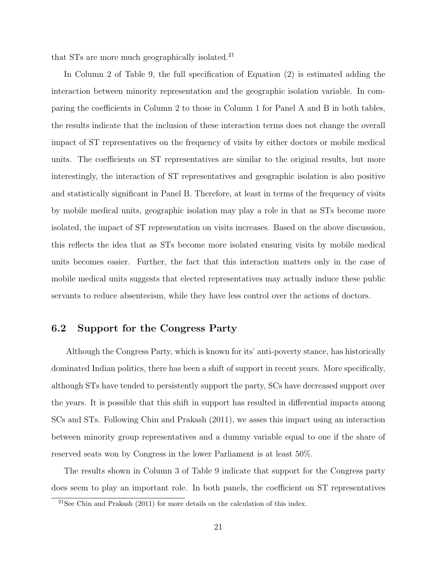that STs are more much geographically isolated.<sup>21</sup>

In Column 2 of Table 9, the full specification of Equation (2) is estimated adding the interaction between minority representation and the geographic isolation variable. In comparing the coefficients in Column 2 to those in Column 1 for Panel A and B in both tables, the results indicate that the inclusion of these interaction terms does not change the overall impact of ST representatives on the frequency of visits by either doctors or mobile medical units. The coefficients on ST representatives are similar to the original results, but more interestingly, the interaction of ST representatives and geographic isolation is also positive and statistically significant in Panel B. Therefore, at least in terms of the frequency of visits by mobile medical units, geographic isolation may play a role in that as STs become more isolated, the impact of ST representation on visits increases. Based on the above discussion, this reflects the idea that as STs become more isolated ensuring visits by mobile medical units becomes easier. Further, the fact that this interaction matters only in the case of mobile medical units suggests that elected representatives may actually induce these public servants to reduce absenteeism, while they have less control over the actions of doctors.

### 6.2 Support for the Congress Party

Although the Congress Party, which is known for its' anti-poverty stance, has historically dominated Indian politics, there has been a shift of support in recent years. More specifically, although STs have tended to persistently support the party, SCs have decreased support over the years. It is possible that this shift in support has resulted in differential impacts among SCs and STs. Following Chin and Prakash (2011), we asses this impact using an interaction between minority group representatives and a dummy variable equal to one if the share of reserved seats won by Congress in the lower Parliament is at least 50%.

The results shown in Column 3 of Table 9 indicate that support for the Congress party does seem to play an important role. In both panels, the coefficient on ST representatives

 $21$ See Chin and Prakash (2011) for more details on the calculation of this index.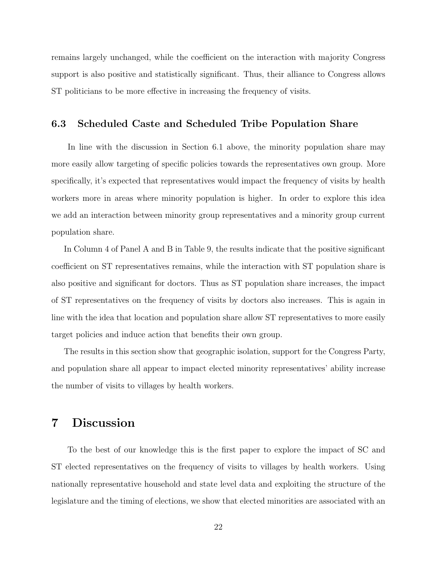remains largely unchanged, while the coefficient on the interaction with majority Congress support is also positive and statistically significant. Thus, their alliance to Congress allows ST politicians to be more effective in increasing the frequency of visits.

### 6.3 Scheduled Caste and Scheduled Tribe Population Share

In line with the discussion in Section 6.1 above, the minority population share may more easily allow targeting of specific policies towards the representatives own group. More specifically, it's expected that representatives would impact the frequency of visits by health workers more in areas where minority population is higher. In order to explore this idea we add an interaction between minority group representatives and a minority group current population share.

In Column 4 of Panel A and B in Table 9, the results indicate that the positive significant coefficient on ST representatives remains, while the interaction with ST population share is also positive and significant for doctors. Thus as ST population share increases, the impact of ST representatives on the frequency of visits by doctors also increases. This is again in line with the idea that location and population share allow ST representatives to more easily target policies and induce action that benefits their own group.

The results in this section show that geographic isolation, support for the Congress Party, and population share all appear to impact elected minority representatives' ability increase the number of visits to villages by health workers.

# 7 Discussion

To the best of our knowledge this is the first paper to explore the impact of SC and ST elected representatives on the frequency of visits to villages by health workers. Using nationally representative household and state level data and exploiting the structure of the legislature and the timing of elections, we show that elected minorities are associated with an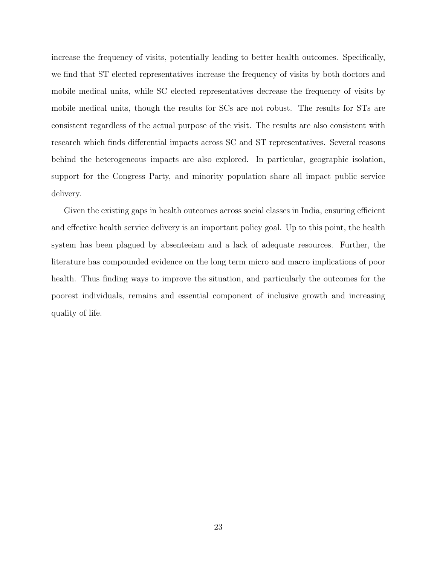increase the frequency of visits, potentially leading to better health outcomes. Specifically, we find that ST elected representatives increase the frequency of visits by both doctors and mobile medical units, while SC elected representatives decrease the frequency of visits by mobile medical units, though the results for SCs are not robust. The results for STs are consistent regardless of the actual purpose of the visit. The results are also consistent with research which finds differential impacts across SC and ST representatives. Several reasons behind the heterogeneous impacts are also explored. In particular, geographic isolation, support for the Congress Party, and minority population share all impact public service delivery.

Given the existing gaps in health outcomes across social classes in India, ensuring efficient and effective health service delivery is an important policy goal. Up to this point, the health system has been plagued by absenteeism and a lack of adequate resources. Further, the literature has compounded evidence on the long term micro and macro implications of poor health. Thus finding ways to improve the situation, and particularly the outcomes for the poorest individuals, remains and essential component of inclusive growth and increasing quality of life.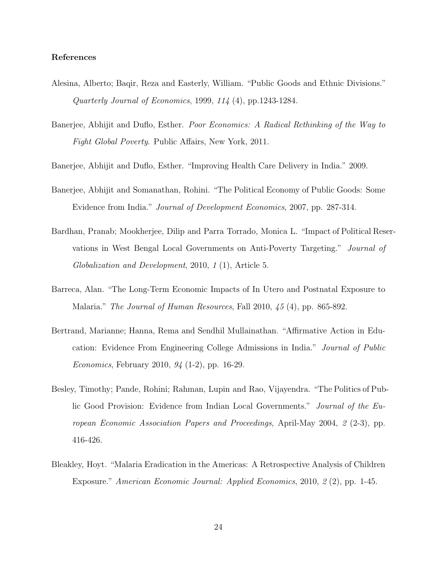#### References

- Alesina, Alberto; Baqir, Reza and Easterly, William. "Public Goods and Ethnic Divisions." Quarterly Journal of Economics, 1999, 114 (4), pp.1243-1284.
- Banerjee, Abhijit and Duflo, Esther. Poor Economics: A Radical Rethinking of the Way to Fight Global Poverty. Public Affairs, New York, 2011.
- Banerjee, Abhijit and Duflo, Esther. "Improving Health Care Delivery in India." 2009.
- Banerjee, Abhijit and Somanathan, Rohini. "The Political Economy of Public Goods: Some Evidence from India." Journal of Development Economics, 2007, pp. 287-314.
- Bardhan, Pranab; Mookherjee, Dilip and Parra Torrado, Monica L. "Impact of Political Reservations in West Bengal Local Governments on Anti-Poverty Targeting." Journal of Globalization and Development, 2010, 1 (1), Article 5.
- Barreca, Alan. "The Long-Term Economic Impacts of In Utero and Postnatal Exposure to Malaria." The Journal of Human Resources, Fall 2010, 45 (4), pp. 865-892.
- Bertrand, Marianne; Hanna, Rema and Sendhil Mullainathan. "Affirmative Action in Education: Evidence From Engineering College Admissions in India." Journal of Public Economics, February 2010, 94 (1-2), pp. 16-29.
- Besley, Timothy; Pande, Rohini; Rahman, Lupin and Rao, Vijayendra. "The Politics of Public Good Provision: Evidence from Indian Local Governments." Journal of the European Economic Association Papers and Proceedings, April-May 2004, 2 (2-3), pp. 416-426.
- Bleakley, Hoyt. "Malaria Eradication in the Americas: A Retrospective Analysis of Children Exposure." American Economic Journal: Applied Economics, 2010, 2 (2), pp. 1-45.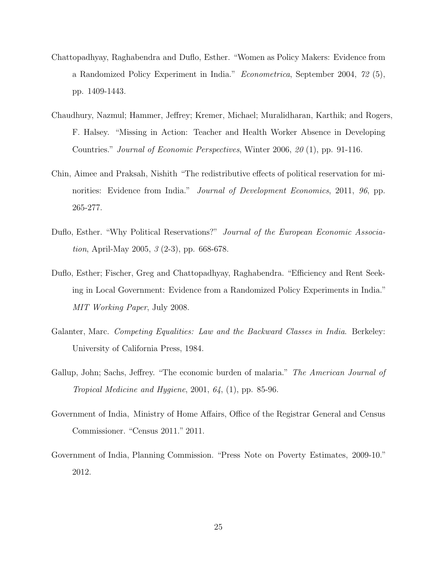- Chattopadhyay, Raghabendra and Duflo, Esther. "Women as Policy Makers: Evidence from a Randomized Policy Experiment in India." Econometrica, September 2004, 72 (5), pp. 1409-1443.
- Chaudhury, Nazmul; Hammer, Jeffrey; Kremer, Michael; Muralidharan, Karthik; and Rogers, F. Halsey. "Missing in Action: Teacher and Health Worker Absence in Developing Countries." Journal of Economic Perspectives, Winter 2006, 20 (1), pp. 91-116.
- Chin, Aimee and Praksah, Nishith "The redistributive effects of political reservation for minorities: Evidence from India." *Journal of Development Economics*, 2011, 96, pp. 265-277.
- Duflo, Esther. "Why Political Reservations?" Journal of the European Economic Associa*tion*, April-May 2005,  $\beta$  (2-3), pp. 668-678.
- Duflo, Esther; Fischer, Greg and Chattopadhyay, Raghabendra. "Efficiency and Rent Seeking in Local Government: Evidence from a Randomized Policy Experiments in India." MIT Working Paper, July 2008.
- Galanter, Marc. Competing Equalities: Law and the Backward Classes in India. Berkeley: University of California Press, 1984.
- Gallup, John; Sachs, Jeffrey. "The economic burden of malaria." The American Journal of Tropical Medicine and Hygiene, 2001,  $64$ ,  $(1)$ , pp. 85-96.
- Government of India, Ministry of Home Affairs, Office of the Registrar General and Census Commissioner. "Census 2011." 2011.
- Government of India, Planning Commission. "Press Note on Poverty Estimates, 2009-10." 2012.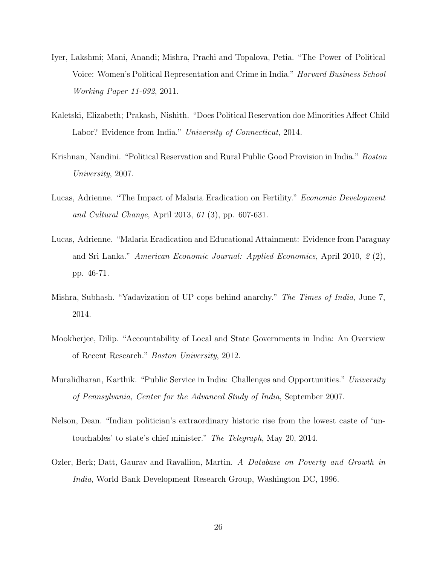- Iyer, Lakshmi; Mani, Anandi; Mishra, Prachi and Topalova, Petia. "The Power of Political Voice: Women's Political Representation and Crime in India." Harvard Business School Working Paper 11-092, 2011.
- Kaletski, Elizabeth; Prakash, Nishith. "Does Political Reservation doe Minorities Affect Child Labor? Evidence from India." University of Connecticut, 2014.
- Krishnan, Nandini. "Political Reservation and Rural Public Good Provision in India." Boston University, 2007.
- Lucas, Adrienne. "The Impact of Malaria Eradication on Fertility." *Economic Development* and Cultural Change, April 2013, 61 (3), pp. 607-631.
- Lucas, Adrienne. "Malaria Eradication and Educational Attainment: Evidence from Paraguay and Sri Lanka." American Economic Journal: Applied Economics, April 2010, 2 (2), pp. 46-71.
- Mishra, Subhash. "Yadavization of UP cops behind anarchy." The Times of India, June 7, 2014.
- Mookherjee, Dilip. "Accountability of Local and State Governments in India: An Overview of Recent Research." Boston University, 2012.
- Muralidharan, Karthik. "Public Service in India: Challenges and Opportunities." University of Pennsylvania, Center for the Advanced Study of India, September 2007.
- Nelson, Dean. "Indian politician's extraordinary historic rise from the lowest caste of 'untouchables' to state's chief minister." The Telegraph, May 20, 2014.
- Ozler, Berk; Datt, Gaurav and Ravallion, Martin. A Database on Poverty and Growth in India, World Bank Development Research Group, Washington DC, 1996.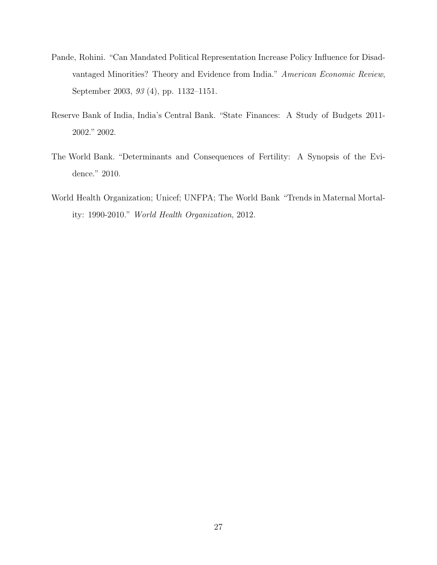- Pande, Rohini. "Can Mandated Political Representation Increase Policy Influence for Disadvantaged Minorities? Theory and Evidence from India." American Economic Review, September 2003, 93 (4), pp. 1132–1151.
- Reserve Bank of India, India's Central Bank. "State Finances: A Study of Budgets 2011- 2002." 2002.
- The World Bank. "Determinants and Consequences of Fertility: A Synopsis of the Evidence." 2010.
- World Health Organization; Unicef; UNFPA; The World Bank "Trends in Maternal Mortality: 1990-2010." World Health Organization, 2012.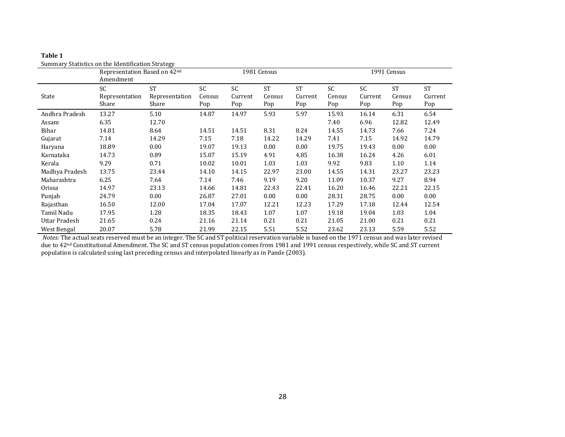| Table 1                                           |
|---------------------------------------------------|
| Summary Statistics on the Identification Strategy |

|                         | Representation Based on 42nd<br>Amendment |                                      |                     |                      | 1981 Census                |                             |                      |                             | 1991 Census                |                             |
|-------------------------|-------------------------------------------|--------------------------------------|---------------------|----------------------|----------------------------|-----------------------------|----------------------|-----------------------------|----------------------------|-----------------------------|
| State                   | <b>SC</b><br>Representation<br>Share      | <b>ST</b><br>Representation<br>Share | SC<br>Census<br>Pop | SC<br>Current<br>Pop | <b>ST</b><br>Census<br>Pop | <b>ST</b><br>Current<br>Pop | SC.<br>Census<br>Pop | <b>SC</b><br>Current<br>Pop | <b>ST</b><br>Census<br>Pop | <b>ST</b><br>Current<br>Pop |
| Andhra Pradesh<br>Assam | 13.27<br>6.35                             | 5.10<br>12.70                        | 14.87               | 14.97                | 5.93                       | 5.97                        | 15.93<br>7.40        | 16.14<br>6.96               | 6.31<br>12.82              | 6.54<br>12.49               |
| Bihar                   | 14.81                                     | 8.64                                 | 14.51               | 14.51                | 8.31                       | 8.24                        | 14.55                | 14.73                       | 7.66                       | 7.24                        |
| Gujarat                 | 7.14                                      | 14.29                                | 7.15                | 7.18                 | 14.22                      | 14.29                       | 7.41                 | 7.15                        | 14.92                      | 14.79                       |
| Haryana                 | 18.89                                     | 0.00                                 | 19.07               | 19.13                | 0.00                       | 0.00                        | 19.75                | 19.43                       | 0.00                       | 0.00                        |
| Karnataka               | 14.73                                     | 0.89                                 | 15.07               | 15.19                | 4.91                       | 4.85                        | 16.38                | 16.24                       | 4.26                       | 6.01                        |
| Kerala                  | 9.29                                      | 0.71                                 | 10.02               | 10.01                | 1.03                       | 1.03                        | 9.92                 | 9.83                        | 1.10                       | 1.14                        |
| Madhya Pradesh          | 13.75                                     | 23.44                                | 14.10               | 14.15                | 22.97                      | 23.00                       | 14.55                | 14.31                       | 23.27                      | 23.23                       |
| Maharashtra             | 6.25                                      | 7.64                                 | 7.14                | 7.46                 | 9.19                       | 9.20                        | 11.09                | 10.37                       | 9.27                       | 8.94                        |
| Orissa                  | 14.97                                     | 23.13                                | 14.66               | 14.81                | 22.43                      | 22.41                       | 16.20                | 16.46                       | 22.21                      | 22.15                       |
| Punjab                  | 24.79                                     | 0.00                                 | 26.87               | 27.01                | 0.00                       | 0.00                        | 28.31                | 28.75                       | 0.00                       | 0.00                        |
| Rajasthan               | 16.50                                     | 12.00                                | 17.04               | 17.07                | 12.21                      | 12.23                       | 17.29                | 17.18                       | 12.44                      | 12.54                       |
| Tamil Nadu              | 17.95                                     | 1.28                                 | 18.35               | 18.43                | 1.07                       | 1.07                        | 19.18                | 19.04                       | 1.03                       | 1.04                        |
| Uttar Pradesh           | 21.65                                     | 0.24                                 | 21.16               | 21.14                | 0.21                       | 0.21                        | 21.05                | 21.00                       | 0.21                       | 0.21                        |
| West Bengal             | 20.07                                     | 5.78                                 | 21.99               | 22.15                | 5.51                       | 5.52                        | 23.62                | 23.13                       | 5.59                       | 5.52                        |

*Notes:* The actual seats reserved must be an integer. The SC and ST political reservation variable is based on the 1971 census and was later revised due to 42nd Constitutional Amendment. The SC and ST census population comes from 1981 and 1991 census respectively, while SC and ST current population is calculated using last preceding census and interpolated linearly as in Pande (2003).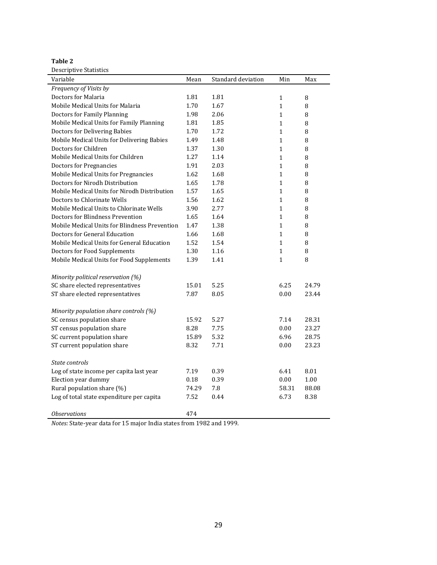**Table 2**

| Descriptive Statistics<br>Variable            | Mean  | Standard deviation | Min          | Max    |
|-----------------------------------------------|-------|--------------------|--------------|--------|
| Frequency of Visits by                        |       |                    |              |        |
| Doctors for Malaria                           | 1.81  | 1.81               | $\mathbf{1}$ | $\, 8$ |
| Mobile Medical Units for Malaria              | 1.70  | 1.67               | $\mathbf{1}$ | 8      |
| Doctors for Family Planning                   | 1.98  | 2.06               | $\mathbf{1}$ | 8      |
| Mobile Medical Units for Family Planning      | 1.81  | 1.85               | $\mathbf{1}$ | 8      |
| Doctors for Delivering Babies                 | 1.70  | 1.72               | $\mathbf{1}$ | 8      |
| Mobile Medical Units for Delivering Babies    | 1.49  | 1.48               | $\mathbf{1}$ | $\, 8$ |
| Doctors for Children                          | 1.37  | 1.30               | $\mathbf{1}$ | 8      |
| Mobile Medical Units for Children             | 1.27  | 1.14               | $\mathbf{1}$ | 8      |
| <b>Doctors for Pregnancies</b>                | 1.91  | 2.03               | $\mathbf{1}$ | 8      |
| Mobile Medical Units for Pregnancies          | 1.62  | 1.68               | $\mathbf{1}$ | $\, 8$ |
| Doctors for Nirodh Distribution               | 1.65  | 1.78               | $\mathbf{1}$ | $\, 8$ |
| Mobile Medical Units for Nirodh Distribution  | 1.57  | 1.65               | $\mathbf{1}$ | 8      |
| Doctors to Chlorinate Wells                   | 1.56  | 1.62               | $\mathbf{1}$ | 8      |
| Mobile Medical Units to Chlorinate Wells      | 3.90  | 2.77               | $\mathbf{1}$ | 8      |
| Doctors for Blindness Prevention              | 1.65  | 1.64               | $\mathbf{1}$ | $\, 8$ |
| Mobile Medical Units for Blindness Prevention | 1.47  | 1.38               | $\mathbf{1}$ | 8      |
| Doctors for General Education                 | 1.66  | 1.68               | $\mathbf{1}$ | $\, 8$ |
| Mobile Medical Units for General Education    | 1.52  | 1.54               | $\mathbf{1}$ | 8      |
| Doctors for Food Supplements                  | 1.30  | 1.16               | $\mathbf{1}$ | 8      |
| Mobile Medical Units for Food Supplements     | 1.39  | 1.41               | $\mathbf{1}$ | $\, 8$ |
|                                               |       |                    |              |        |
| Minority political reservation (%)            |       |                    |              |        |
| SC share elected representatives              | 15.01 | 5.25               | 6.25         | 24.79  |
| ST share elected representatives              | 7.87  | 8.05               | 0.00         | 23.44  |
|                                               |       |                    |              |        |
| Minority population share controls (%)        |       |                    |              |        |
| SC census population share                    | 15.92 | 5.27               | 7.14         | 28.31  |
| ST census population share                    | 8.28  | 7.75               | 0.00         | 23.27  |
| SC current population share                   | 15.89 | 5.32               | 6.96         | 28.75  |
| ST current population share                   | 8.32  | 7.71               | 0.00         | 23.23  |
| State controls                                |       |                    |              |        |
| Log of state income per capita last year      | 7.19  | 0.39               | 6.41         | 8.01   |
| Election year dummy                           | 0.18  | 0.39               | 0.00         | 1.00   |
| Rural population share (%)                    | 74.29 | 7.8                | 58.31        | 88.08  |
| Log of total state expenditure per capita     | 7.52  | 0.44               | 6.73         | 8.38   |
|                                               |       |                    |              |        |
| <b>Observations</b>                           | 474   |                    |              |        |

*Notes:* State-year data for 15 major India states from 1982 and 1999.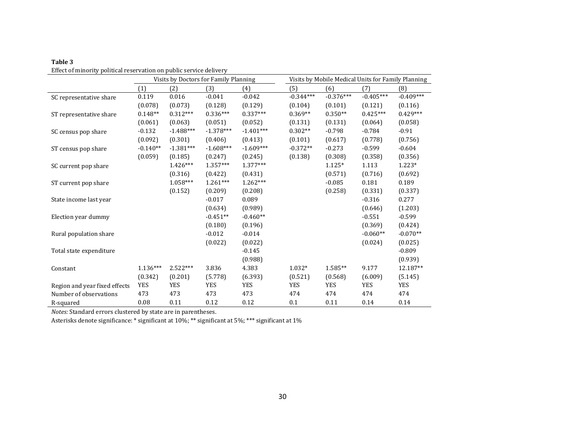|                               |            |             | Visits by Doctors for Family Planning |             | Visits by Mobile Medical Units for Family Planning |             |             |             |
|-------------------------------|------------|-------------|---------------------------------------|-------------|----------------------------------------------------|-------------|-------------|-------------|
|                               | (1)        | (2)         | (3)                                   | (4)         | (5)                                                | (6)         | (7)         | (8)         |
| SC representative share       | 0.119      | 0.016       | $-0.041$                              | $-0.042$    | $-0.344***$                                        | $-0.376***$ | $-0.405***$ | $-0.409***$ |
|                               | (0.078)    | (0.073)     | (0.128)                               | (0.129)     | (0.104)                                            | (0.101)     | (0.121)     | (0.116)     |
| ST representative share       | $0.148**$  | $0.312***$  | $0.336***$                            | $0.337***$  | $0.369**$                                          | $0.350**$   | $0.425***$  | $0.429***$  |
|                               | (0.061)    | (0.063)     | (0.051)                               | (0.052)     | (0.131)                                            | (0.131)     | (0.064)     | (0.058)     |
| SC census pop share           | $-0.132$   | $-1.488***$ | $-1.378***$                           | $-1.401***$ | $0.302**$                                          | $-0.798$    | $-0.784$    | $-0.91$     |
|                               | (0.092)    | (0.301)     | (0.406)                               | (0.413)     | (0.101)                                            | (0.617)     | (0.778)     | (0.756)     |
| ST census pop share           | $-0.140**$ | $-1.381***$ | $-1.608***$                           | $-1.609***$ | $-0.372**$                                         | $-0.273$    | $-0.599$    | $-0.604$    |
|                               | (0.059)    | (0.185)     | (0.247)                               | (0.245)     | (0.138)                                            | (0.308)     | (0.358)     | (0.356)     |
| SC current pop share          |            | $1.426***$  | $1.357***$                            | 1.377***    |                                                    | $1.125*$    | 1.113       | $1.223*$    |
|                               |            | (0.316)     | (0.422)                               | (0.431)     |                                                    | (0.571)     | (0.716)     | (0.692)     |
| ST current pop share          |            | $1.058***$  | $1.261***$                            | 1.262***    |                                                    | $-0.085$    | 0.181       | 0.189       |
|                               |            | (0.152)     | (0.209)                               | (0.208)     |                                                    | (0.258)     | (0.331)     | (0.337)     |
| State income last year        |            |             | $-0.017$                              | 0.089       |                                                    |             | $-0.316$    | 0.277       |
|                               |            |             | (0.634)                               | (0.989)     |                                                    |             | (0.646)     | (1.203)     |
| Election year dummy           |            |             | $-0.451**$                            | $-0.460**$  |                                                    |             | $-0.551$    | $-0.599$    |
|                               |            |             | (0.180)                               | (0.196)     |                                                    |             | (0.369)     | (0.424)     |
| Rural population share        |            |             | $-0.012$                              | $-0.014$    |                                                    |             | $-0.060**$  | $-0.070**$  |
|                               |            |             | (0.022)                               | (0.022)     |                                                    |             | (0.024)     | (0.025)     |
| Total state expenditure       |            |             |                                       | $-0.145$    |                                                    |             |             | $-0.809$    |
|                               |            |             |                                       | (0.988)     |                                                    |             |             | (0.939)     |
| Constant                      | $1.136***$ | $2.522***$  | 3.836                                 | 4.383       | $1.032*$                                           | $1.585**$   | 9.177       | 12.187**    |
|                               | (0.342)    | (0.201)     | (5.778)                               | (6.393)     | (0.521)                                            | (0.568)     | (6.009)     | (5.145)     |
| Region and year fixed effects | <b>YES</b> | <b>YES</b>  | <b>YES</b>                            | <b>YES</b>  | <b>YES</b>                                         | <b>YES</b>  | <b>YES</b>  | <b>YES</b>  |
| Number of observations        | 473        | 473         | 473                                   | 473         | 474                                                | 474         | 474         | 474         |
| R-squared                     | 0.08       | 0.11        | 0.12                                  | 0.12        | 0.1                                                | 0.11        | 0.14        | 0.14        |

*Notes:* Standard errors clustered by state are in parentheses.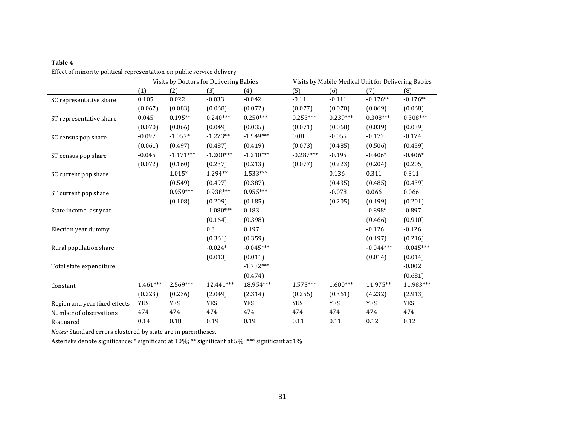| J<br>۰, |  |
|---------|--|
|---------|--|

| enced of immorty pontical representation on public service activery |            |             | Visits by Doctors for Delivering Babies |             | Visits by Mobile Medical Unit for Delivering Babies |            |             |             |  |
|---------------------------------------------------------------------|------------|-------------|-----------------------------------------|-------------|-----------------------------------------------------|------------|-------------|-------------|--|
|                                                                     | (1)        | (2)         | (3)                                     | (4)         | (5)                                                 | (6)        | (7)         | (8)         |  |
| SC representative share                                             | 0.105      | 0.022       | $-0.033$                                | $-0.042$    | $-0.11$                                             | $-0.111$   | $-0.176**$  | $-0.176**$  |  |
|                                                                     | (0.067)    | (0.083)     | (0.068)                                 | (0.072)     | (0.077)                                             | (0.070)    | (0.069)     | (0.068)     |  |
| ST representative share                                             | 0.045      | $0.195**$   | $0.240***$                              | $0.250***$  | $0.253***$                                          | $0.239***$ | $0.308***$  | $0.308***$  |  |
|                                                                     | (0.070)    | (0.066)     | (0.049)                                 | (0.035)     | (0.071)                                             | (0.068)    | (0.039)     | (0.039)     |  |
| SC census pop share                                                 | $-0.097$   | $-1.057*$   | $-1.273**$                              | $-1.549***$ | 0.08                                                | $-0.055$   | $-0.173$    | $-0.174$    |  |
|                                                                     | (0.061)    | (0.497)     | (0.487)                                 | (0.419)     | (0.073)                                             | (0.485)    | (0.506)     | (0.459)     |  |
| ST census pop share                                                 | $-0.045$   | $-1.171***$ | $-1.200***$                             | $-1.210***$ | $-0.287***$                                         | $-0.195$   | $-0.406*$   | $-0.406*$   |  |
|                                                                     | (0.072)    | (0.160)     | (0.237)                                 | (0.213)     | (0.077)                                             | (0.223)    | (0.204)     | (0.205)     |  |
| SC current pop share                                                |            | $1.015*$    | 1.294**                                 | 1.533***    |                                                     | 0.136      | 0.311       | 0.311       |  |
|                                                                     |            | (0.549)     | (0.497)                                 | (0.387)     |                                                     | (0.435)    | (0.485)     | (0.439)     |  |
| ST current pop share                                                |            | $0.959***$  | $0.938***$                              | $0.955***$  |                                                     | $-0.078$   | 0.066       | 0.066       |  |
|                                                                     |            | (0.108)     | (0.209)                                 | (0.185)     |                                                     | (0.205)    | (0.199)     | (0.201)     |  |
| State income last year                                              |            |             | $-1.080***$                             | 0.183       |                                                     |            | $-0.898*$   | $-0.897$    |  |
|                                                                     |            |             | (0.164)                                 | (0.398)     |                                                     |            | (0.466)     | (0.910)     |  |
| Election year dummy                                                 |            |             | 0.3                                     | 0.197       |                                                     |            | $-0.126$    | $-0.126$    |  |
|                                                                     |            |             | (0.361)                                 | (0.359)     |                                                     |            | (0.197)     | (0.216)     |  |
| Rural population share                                              |            |             | $-0.024*$                               | $-0.045***$ |                                                     |            | $-0.044***$ | $-0.045***$ |  |
|                                                                     |            |             | (0.013)                                 | (0.011)     |                                                     |            | (0.014)     | (0.014)     |  |
| Total state expenditure                                             |            |             |                                         | $-1.732***$ |                                                     |            |             | $-0.002$    |  |
|                                                                     |            |             |                                         | (0.474)     |                                                     |            |             | (0.681)     |  |
| Constant                                                            | $1.461***$ | 2.569***    | 12.441***                               | 18.954***   | $1.573***$                                          | $1.600***$ | 11.975**    | 11.983***   |  |
|                                                                     | (0.223)    | (0.236)     | (2.049)                                 | (2.314)     | (0.255)                                             | (0.361)    | (4.232)     | (2.913)     |  |
| Region and year fixed effects                                       | <b>YES</b> | <b>YES</b>  | <b>YES</b>                              | <b>YES</b>  | <b>YES</b>                                          | <b>YES</b> | <b>YES</b>  | <b>YES</b>  |  |
| Number of observations                                              | 474        | 474         | 474                                     | 474         | 474                                                 | 474        | 474         | 474         |  |
| R-squared                                                           | 0.14       | 0.18        | 0.19                                    | 0.19        | 0.11                                                | 0.11       | 0.12        | 0.12        |  |

*Notes:* Standard errors clustered by state are in parentheses.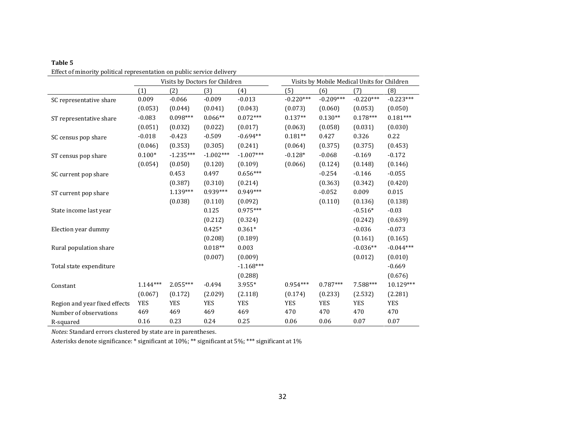|                               |            |             | Visits by Doctors for Children |             | Visits by Mobile Medical Units for Children |             |             |             |  |
|-------------------------------|------------|-------------|--------------------------------|-------------|---------------------------------------------|-------------|-------------|-------------|--|
|                               | (1)        | (2)         | (3)                            | (4)         | (5)                                         | (6)         | (7)         | (8)         |  |
| SC representative share       | 0.009      | $-0.066$    | $-0.009$                       | $-0.013$    | $-0.220***$                                 | $-0.209***$ | $-0.220***$ | $-0.223***$ |  |
|                               | (0.053)    | (0.044)     | (0.041)                        | (0.043)     | (0.073)                                     | (0.060)     | (0.053)     | (0.050)     |  |
| ST representative share       | $-0.083$   | $0.098***$  | $0.066**$                      | $0.072***$  | $0.137**$                                   | $0.130**$   | $0.178***$  | $0.181***$  |  |
|                               | (0.051)    | (0.032)     | (0.022)                        | (0.017)     | (0.063)                                     | (0.058)     | (0.031)     | (0.030)     |  |
| SC census pop share           | $-0.018$   | $-0.423$    | $-0.509$                       | $-0.694**$  | $0.181**$                                   | 0.427       | 0.326       | 0.22        |  |
|                               | (0.046)    | (0.353)     | (0.305)                        | (0.241)     | (0.064)                                     | (0.375)     | (0.375)     | (0.453)     |  |
| ST census pop share           | $0.100*$   | $-1.235***$ | $-1.002***$                    | $-1.007***$ | $-0.128*$                                   | $-0.068$    | $-0.169$    | $-0.172$    |  |
|                               | (0.054)    | (0.050)     | (0.120)                        | (0.109)     | (0.066)                                     | (0.124)     | (0.148)     | (0.146)     |  |
| SC current pop share          |            | 0.453       | 0.497                          | $0.656***$  |                                             | $-0.254$    | $-0.146$    | $-0.055$    |  |
|                               |            | (0.387)     | (0.310)                        | (0.214)     |                                             | (0.363)     | (0.342)     | (0.420)     |  |
| ST current pop share          |            | $1.139***$  | $0.939***$                     | $0.949***$  |                                             | $-0.052$    | 0.009       | 0.015       |  |
|                               |            | (0.038)     | (0.110)                        | (0.092)     |                                             | (0.110)     | (0.136)     | (0.138)     |  |
| State income last year        |            |             | 0.125                          | $0.975***$  |                                             |             | $-0.516*$   | $-0.03$     |  |
|                               |            |             | (0.212)                        | (0.324)     |                                             |             | (0.242)     | (0.639)     |  |
| Election year dummy           |            |             | $0.425*$                       | $0.361*$    |                                             |             | $-0.036$    | $-0.073$    |  |
|                               |            |             | (0.208)                        | (0.189)     |                                             |             | (0.161)     | (0.165)     |  |
| Rural population share        |            |             | $0.018**$                      | 0.003       |                                             |             | $-0.036**$  | $-0.044***$ |  |
|                               |            |             | (0.007)                        | (0.009)     |                                             |             | (0.012)     | (0.010)     |  |
| Total state expenditure       |            |             |                                | $-1.168***$ |                                             |             |             | $-0.669$    |  |
|                               |            |             |                                | (0.288)     |                                             |             |             | (0.676)     |  |
| Constant                      | $1.144***$ | 2.055***    | $-0.494$                       | 3.955*      | $0.954***$                                  | $0.787***$  | 7.588***    | 10.129***   |  |
|                               | (0.067)    | (0.172)     | (2.029)                        | (2.118)     | (0.174)                                     | (0.233)     | (2.532)     | (2.281)     |  |
| Region and year fixed effects | <b>YES</b> | <b>YES</b>  | <b>YES</b>                     | <b>YES</b>  | <b>YES</b>                                  | <b>YES</b>  | <b>YES</b>  | <b>YES</b>  |  |
| Number of observations        | 469        | 469         | 469                            | 469         | 470                                         | 470         | 470         | 470         |  |
| R-squared                     | 0.16       | 0.23        | 0.24                           | 0.25        | 0.06                                        | 0.06        | 0.07        | 0.07        |  |

**Table 5**

*Notes:* Standard errors clustered by state are in parentheses.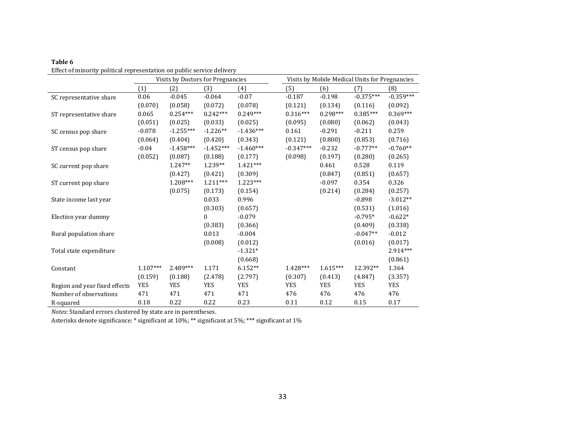| l'able |  |
|--------|--|
|--------|--|

|                               | Visits by Doctors for Pregnancies |             |                  |             | Visits by Mobile Medical Units for Pregnancies |            |             |             |  |
|-------------------------------|-----------------------------------|-------------|------------------|-------------|------------------------------------------------|------------|-------------|-------------|--|
|                               | (1)                               | (2)         | (3)              | (4)         | (5)                                            | (6)        | (7)         | (8)         |  |
| SC representative share       | 0.06                              | $-0.045$    | $-0.064$         | $-0.07$     | $-0.187$                                       | $-0.198$   | $-0.375***$ | $-0.359***$ |  |
|                               | (0.070)                           | (0.058)     | (0.072)          | (0.078)     | (0.121)                                        | (0.134)    | (0.116)     | (0.092)     |  |
| ST representative share       | 0.065                             | $0.254***$  | $0.242***$       | $0.249***$  | $0.316***$                                     | $0.298***$ | $0.385***$  | $0.369***$  |  |
|                               | (0.051)                           | (0.025)     | (0.033)          | (0.025)     | (0.095)                                        | (0.080)    | (0.062)     | (0.043)     |  |
| SC census pop share           | $-0.078$                          | $-1.255***$ | $-1.226**$       | $-1.436***$ | 0.161                                          | $-0.291$   | $-0.211$    | 0.259       |  |
|                               | (0.064)                           | (0.404)     | (0.420)          | (0.343)     | (0.121)                                        | (0.800)    | (0.853)     | (0.716)     |  |
| ST census pop share           | $-0.04$                           | $-1.458***$ | $-1.452***$      | $-1.460***$ | $-0.347***$                                    | $-0.232$   | $-0.777**$  | $-0.760**$  |  |
|                               | (0.052)                           | (0.087)     | (0.188)          | (0.177)     | (0.098)                                        | (0.197)    | (0.280)     | (0.265)     |  |
| SC current pop share          |                                   | $1.247**$   | 1.239**          | $1.421***$  |                                                | 0.461      | 0.528       | 0.119       |  |
|                               |                                   | (0.427)     | (0.421)          | (0.309)     |                                                | (0.847)    | (0.851)     | (0.657)     |  |
| ST current pop share          |                                   | 1.208***    | $1.211***$       | 1.223***    |                                                | $-0.097$   | 0.354       | 0.326       |  |
|                               |                                   | (0.075)     | (0.173)          | (0.154)     |                                                | (0.214)    | (0.284)     | (0.257)     |  |
| State income last year        |                                   |             | 0.033            | 0.996       |                                                |            | $-0.898$    | $-3.012**$  |  |
|                               |                                   |             | (0.303)          | (0.657)     |                                                |            | (0.531)     | (1.016)     |  |
| Election year dummy           |                                   |             | $\boldsymbol{0}$ | $-0.079$    |                                                |            | $-0.795*$   | $-0.622*$   |  |
|                               |                                   |             | (0.383)          | (0.366)     |                                                |            | (0.409)     | (0.338)     |  |
| Rural population share        |                                   |             | 0.013            | $-0.004$    |                                                |            | $-0.047**$  | $-0.012$    |  |
|                               |                                   |             | (0.008)          | (0.012)     |                                                |            | (0.016)     | (0.017)     |  |
| Total state expenditure       |                                   |             |                  | $-1.321*$   |                                                |            |             | 2.914***    |  |
|                               |                                   |             |                  | (0.668)     |                                                |            |             | (0.861)     |  |
| Constant                      | $1.107***$                        | $2.489***$  | 1.171            | $6.152**$   | $1.428***$                                     | $1.615***$ | 12.392**    | 1.364       |  |
|                               | (0.159)                           | (0.188)     | (2.478)          | (2.797)     | (0.307)                                        | (0.413)    | (4.847)     | (3.357)     |  |
| Region and year fixed effects | <b>YES</b>                        | <b>YES</b>  | <b>YES</b>       | <b>YES</b>  | <b>YES</b>                                     | <b>YES</b> | <b>YES</b>  | <b>YES</b>  |  |
| Number of observations        | 471                               | 471         | 471              | 471         | 476                                            | 476        | 476         | 476         |  |
| R-squared                     | 0.18                              | 0.22        | 0.22             | 0.23        | 0.11                                           | 0.12       | 0.15        | 0.17        |  |

*Notes:* Standard errors clustered by state are in parentheses.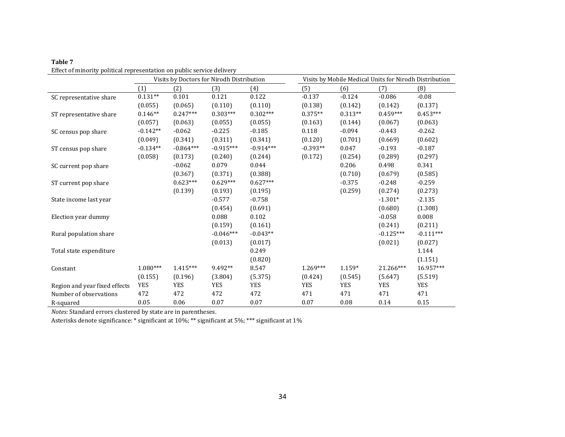|                               |            |             | Visits by Doctors for Nirodh Distribution |             | Visits by Mobile Medical Units for Nirodh Distribution |            |             |             |  |
|-------------------------------|------------|-------------|-------------------------------------------|-------------|--------------------------------------------------------|------------|-------------|-------------|--|
|                               | (1)        | (2)         | (3)                                       | (4)         | (5)                                                    | (6)        | (7)         | (8)         |  |
| SC representative share       | $0.131**$  | 0.101       | 0.121                                     | 0.122       | $-0.137$                                               | $-0.124$   | $-0.086$    | $-0.08$     |  |
|                               | (0.055)    | (0.065)     | (0.110)                                   | (0.110)     | (0.138)                                                | (0.142)    | (0.142)     | (0.137)     |  |
| ST representative share       | $0.146**$  | $0.247***$  | $0.303***$                                | $0.302***$  | $0.375**$                                              | $0.313**$  | $0.459***$  | $0.453***$  |  |
|                               | (0.057)    | (0.063)     | (0.055)                                   | (0.055)     | (0.163)                                                | (0.144)    | (0.067)     | (0.063)     |  |
| SC census pop share           | $-0.142**$ | $-0.062$    | $-0.225$                                  | $-0.185$    | 0.118                                                  | $-0.094$   | $-0.443$    | $-0.262$    |  |
|                               | (0.049)    | (0.341)     | (0.311)                                   | (0.341)     | (0.120)                                                | (0.701)    | (0.669)     | (0.602)     |  |
| ST census pop share           | $-0.134**$ | $-0.864***$ | $-0.915***$                               | $-0.914***$ | $-0.393**$                                             | 0.047      | $-0.193$    | $-0.187$    |  |
|                               | (0.058)    | (0.173)     | (0.240)                                   | (0.244)     | (0.172)                                                | (0.254)    | (0.289)     | (0.297)     |  |
| SC current pop share          |            | $-0.062$    | 0.079                                     | 0.044       |                                                        | 0.206      | 0.498       | 0.341       |  |
|                               |            | (0.367)     | (0.371)                                   | (0.388)     |                                                        | (0.710)    | (0.679)     | (0.585)     |  |
| ST current pop share          |            | $0.623***$  | $0.629***$                                | $0.627***$  |                                                        | $-0.375$   | $-0.248$    | $-0.259$    |  |
|                               |            | (0.139)     | (0.193)                                   | (0.195)     |                                                        | (0.259)    | (0.274)     | (0.273)     |  |
| State income last year        |            |             | $-0.577$                                  | $-0.758$    |                                                        |            | $-1.301*$   | $-2.135$    |  |
|                               |            |             | (0.454)                                   | (0.691)     |                                                        |            | (0.680)     | (1.308)     |  |
| Election year dummy           |            |             | 0.088                                     | 0.102       |                                                        |            | $-0.058$    | 0.008       |  |
|                               |            |             | (0.159)                                   | (0.161)     |                                                        |            | (0.241)     | (0.211)     |  |
| Rural population share        |            |             | $-0.046***$                               | $-0.043**$  |                                                        |            | $-0.125***$ | $-0.111***$ |  |
|                               |            |             | (0.013)                                   | (0.017)     |                                                        |            | (0.021)     | (0.027)     |  |
| Total state expenditure       |            |             |                                           | 0.249       |                                                        |            |             | 1.144       |  |
|                               |            |             |                                           | (0.820)     |                                                        |            |             | (1.151)     |  |
| Constant                      | $1.080***$ | $1.415***$  | 9.492**                                   | 8.547       | $1.269***$                                             | $1.159*$   | 21.266***   | 16.957***   |  |
|                               | (0.155)    | (0.196)     | (3.804)                                   | (5.375)     | (0.424)                                                | (0.545)    | (5.647)     | (5.519)     |  |
| Region and year fixed effects | <b>YES</b> | <b>YES</b>  | <b>YES</b>                                | <b>YES</b>  | <b>YES</b>                                             | <b>YES</b> | <b>YES</b>  | <b>YES</b>  |  |
| Number of observations        | 472        | 472         | 472                                       | 472         | 471                                                    | 471        | 471         | 471         |  |
| R-squared                     | 0.05       | 0.06        | 0.07                                      | 0.07        | 0.07                                                   | 0.08       | 0.14        | 0.15        |  |

*Notes:* Standard errors clustered by state are in parentheses.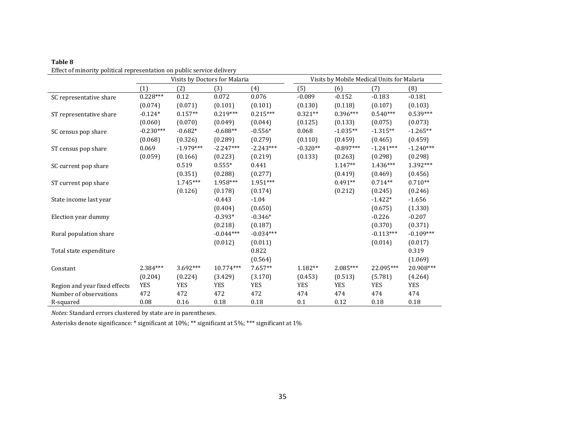|                               |             |             | Visits by Doctors for Malaria |             | Visits by Mobile Medical Units for Malaria |             |             |             |
|-------------------------------|-------------|-------------|-------------------------------|-------------|--------------------------------------------|-------------|-------------|-------------|
|                               | (1)         | (2)         | (3)                           | (4)         | (5)                                        | (6)         | (7)         | (8)         |
| SC representative share       | $0.228***$  | 0.12        | 0.072                         | 0.076       | $-0.089$                                   | $-0.152$    | $-0.183$    | $-0.181$    |
|                               | (0.074)     | (0.071)     | (0.101)                       | (0.101)     | (0.130)                                    | (0.118)     | (0.107)     | (0.103)     |
| ST representative share       | $-0.124*$   | $0.157**$   | $0.219***$                    | $0.215***$  | $0.321**$                                  | $0.396***$  | $0.540***$  | $0.539***$  |
|                               | (0.060)     | (0.070)     | (0.049)                       | (0.044)     | (0.125)                                    | (0.133)     | (0.075)     | (0.073)     |
| SC census pop share           | $-0.230***$ | $-0.682*$   | $-0.688**$                    | $-0.556*$   | 0.068                                      | $-1.035**$  | $-1.315**$  | $-1.265**$  |
|                               | (0.068)     | (0.326)     | (0.289)                       | (0.279)     | (0.110)                                    | (0.459)     | (0.465)     | (0.459)     |
| ST census pop share           | 0.069       | $-1.979***$ | $-2.247***$                   | $-2.243***$ | $-0.320**$                                 | $-0.897***$ | $-1.241***$ | $-1.240***$ |
|                               | (0.059)     | (0.166)     | (0.223)                       | (0.219)     | (0.133)                                    | (0.263)     | (0.298)     | (0.298)     |
| SC current pop share          |             | 0.519       | $0.555*$                      | 0.441       |                                            | $1.147**$   | $1.436***$  | 1.392***    |
|                               |             | (0.351)     | (0.288)                       | (0.277)     |                                            | (0.419)     | (0.469)     | (0.456)     |
| ST current pop share          |             | $1.745***$  | 1.958***                      | $1.951***$  |                                            | $0.491**$   | $0.714**$   | $0.710**$   |
|                               |             | (0.126)     | (0.178)                       | (0.174)     |                                            | (0.212)     | (0.245)     | (0.246)     |
| State income last year        |             |             | $-0.443$                      | $-1.04$     |                                            |             | $-1.422*$   | $-1.656$    |
|                               |             |             | (0.404)                       | (0.650)     |                                            |             | (0.675)     | (1.330)     |
| Election year dummy           |             |             | $-0.393*$                     | $-0.346*$   |                                            |             | $-0.226$    | $-0.207$    |
|                               |             |             | (0.218)                       | (0.187)     |                                            |             | (0.370)     | (0.371)     |
| Rural population share        |             |             | $-0.044***$                   | $-0.034***$ |                                            |             | $-0.113***$ | $-0.109***$ |
|                               |             |             | (0.012)                       | (0.011)     |                                            |             | (0.014)     | (0.017)     |
| Total state expenditure       |             |             |                               | 0.822       |                                            |             |             | 0.319       |
|                               |             |             |                               | (0.564)     |                                            |             |             | (1.069)     |
| Constant                      | $2.384***$  | $3.692***$  | 10.774***                     | $7.657**$   | $1.182**$                                  | $2.085***$  | 22.095***   | 20.908***   |
|                               | (0.204)     | (0.224)     | (3.429)                       | (3.170)     | (0.453)                                    | (0.513)     | (5.781)     | (4.264)     |
| Region and year fixed effects | <b>YES</b>  | <b>YES</b>  | <b>YES</b>                    | <b>YES</b>  | <b>YES</b>                                 | <b>YES</b>  | <b>YES</b>  | <b>YES</b>  |
| Number of observations        | 472         | 472         | 472                           | 472         | 474                                        | 474         | 474         | 474         |
| R-squared                     | 0.08        | 0.16        | 0.18                          | 0.18        | 0.1                                        | 0.12        | 0.18        | 0.18        |

*Notes:* Standard errors clustered by state are in parentheses.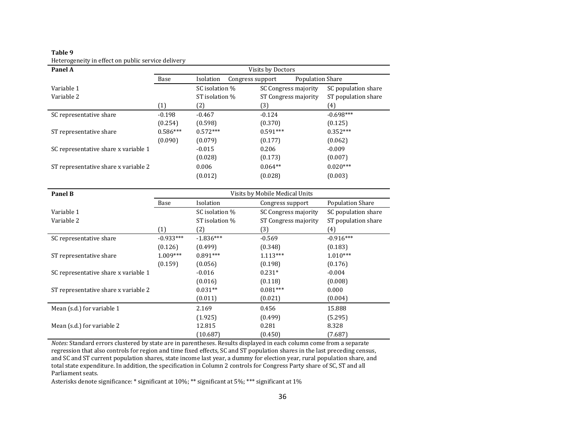| Panel A                              | Visits by Doctors |                |                                             |                     |  |  |  |  |
|--------------------------------------|-------------------|----------------|---------------------------------------------|---------------------|--|--|--|--|
|                                      | Base              | Isolation      | <b>Population Share</b><br>Congress support |                     |  |  |  |  |
| Variable 1                           |                   | SC isolation % | SC Congress majority                        | SC population share |  |  |  |  |
| Variable 2                           |                   | ST isolation % | ST Congress majority                        | ST population share |  |  |  |  |
|                                      | (1)               | (2)            | (3)                                         | (4)                 |  |  |  |  |
| SC representative share              | $-0.198$          | $-0.467$       | $-0.124$                                    | $-0.698***$         |  |  |  |  |
|                                      | (0.254)           | (0.598)        | (0.370)                                     | (0.125)             |  |  |  |  |
| ST representative share              | $0.586***$        | $0.572***$     | $0.591***$                                  | $0.352***$          |  |  |  |  |
|                                      | (0.090)           | (0.079)        | (0.177)                                     | (0.062)             |  |  |  |  |
| SC representative share x variable 1 |                   | $-0.015$       | 0.206                                       | $-0.009$            |  |  |  |  |
|                                      |                   | (0.028)        | (0.173)                                     | (0.007)             |  |  |  |  |
| ST representative share x variable 2 |                   | 0.006          | $0.064**$                                   | $0.020***$          |  |  |  |  |
|                                      |                   | (0.012)        | (0.028)                                     | (0.003)             |  |  |  |  |

#### **Table 9** Heterogeneity in effect on public service delivery

| Panel B                              | Visits by Mobile Medical Units |                |                      |                         |  |  |  |
|--------------------------------------|--------------------------------|----------------|----------------------|-------------------------|--|--|--|
|                                      | Base                           | Isolation      | Congress support     | <b>Population Share</b> |  |  |  |
| Variable 1                           |                                | SC isolation % | SC Congress majority | SC population share     |  |  |  |
| Variable 2                           |                                | ST isolation % | ST Congress majority | ST population share     |  |  |  |
|                                      | (1)                            | (2)            | (3)                  | (4)                     |  |  |  |
| SC representative share              | $-0.933***$                    | $-1.836***$    | $-0.569$             | $-0.916***$             |  |  |  |
|                                      | (0.126)                        | (0.499)        | (0.348)              | (0.183)                 |  |  |  |
| ST representative share              | $1.009***$                     | $0.891***$     | $1.113***$           | $1.010***$              |  |  |  |
|                                      | (0.159)                        | (0.056)        | (0.198)              | (0.176)                 |  |  |  |
| SC representative share x variable 1 |                                | $-0.016$       | $0.231*$             | $-0.004$                |  |  |  |
|                                      |                                | (0.016)        | (0.118)              | (0.008)                 |  |  |  |
| ST representative share x variable 2 |                                | $0.031**$      | $0.081***$           | 0.000                   |  |  |  |
|                                      |                                | (0.011)        | (0.021)              | (0.004)                 |  |  |  |
| Mean (s.d.) for variable 1           |                                | 2.169          | 0.456                | 15.888                  |  |  |  |
|                                      |                                | (1.925)        | (0.499)              | (5.295)                 |  |  |  |
| Mean (s.d.) for variable 2           |                                | 12.815         | 0.281                | 8.328                   |  |  |  |
|                                      |                                | (10.687)       | (0.450)              | (7.687)                 |  |  |  |

*Notes:* Standard errors clustered by state are in parentheses. Results displayed in each column come from a separate regression that also controls for region and time fixed effects, SC and ST population shares in the last preceding census, and SC and ST current population shares, state income last year, a dummy for election year, rural population share, and total state expenditure. In addition, the specification in Column 2 controls for Congress Party share of SC, ST and all Parliament seats.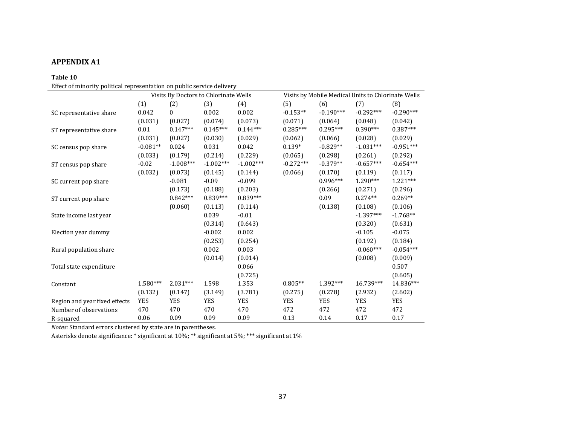### **APPENDIX A1**

#### **Table 10**

Effect of minority political representation on public service delivery

|                               | Visits By Doctors to Chlorinate Wells |             |             |             | Visits by Mobile Medical Units to Chlorinate Wells |             |             |             |
|-------------------------------|---------------------------------------|-------------|-------------|-------------|----------------------------------------------------|-------------|-------------|-------------|
|                               | (1)                                   | (2)         | (3)         | (4)         | (5)                                                | (6)         | (7)         | (8)         |
| SC representative share       | 0.042                                 | $\Omega$    | 0.002       | 0.002       | $-0.153**$                                         | $-0.190***$ | $-0.292***$ | $-0.290***$ |
|                               | (0.031)                               | (0.027)     | (0.074)     | (0.073)     | (0.071)                                            | (0.064)     | (0.048)     | (0.042)     |
| ST representative share       | 0.01                                  | $0.147***$  | $0.145***$  | $0.144***$  | $0.285***$                                         | $0.295***$  | $0.390***$  | $0.387***$  |
|                               | (0.031)                               | (0.027)     | (0.030)     | (0.029)     | (0.062)                                            | (0.066)     | (0.028)     | (0.029)     |
| SC census pop share           | $-0.081**$                            | 0.024       | 0.031       | 0.042       | $0.139*$                                           | $-0.829**$  | $-1.031***$ | $-0.951***$ |
|                               | (0.033)                               | (0.179)     | (0.214)     | (0.229)     | (0.065)                                            | (0.298)     | (0.261)     | (0.292)     |
| ST census pop share           | $-0.02$                               | $-1.008***$ | $-1.002***$ | $-1.002***$ | $-0.272***$                                        | $-0.379**$  | $-0.657***$ | $-0.654***$ |
|                               | (0.032)                               | (0.073)     | (0.145)     | (0.144)     | (0.066)                                            | (0.170)     | (0.119)     | (0.117)     |
| SC current pop share          |                                       | $-0.081$    | $-0.09$     | $-0.099$    |                                                    | $0.996***$  | 1.290***    | $1.221***$  |
|                               |                                       | (0.173)     | (0.188)     | (0.203)     |                                                    | (0.266)     | (0.271)     | (0.296)     |
| ST current pop share          |                                       | $0.842***$  | $0.839***$  | $0.839***$  |                                                    | 0.09        | $0.274**$   | $0.269**$   |
|                               |                                       | (0.060)     | (0.113)     | (0.114)     |                                                    | (0.138)     | (0.108)     | (0.106)     |
| State income last year        |                                       |             | 0.039       | $-0.01$     |                                                    |             | $-1.397***$ | $-1.768**$  |
|                               |                                       |             | (0.314)     | (0.643)     |                                                    |             | (0.320)     | (0.631)     |
| Election year dummy           |                                       |             | $-0.002$    | 0.002       |                                                    |             | $-0.105$    | $-0.075$    |
|                               |                                       |             | (0.253)     | (0.254)     |                                                    |             | (0.192)     | (0.184)     |
| Rural population share        |                                       |             | 0.002       | 0.003       |                                                    |             | $-0.060***$ | $-0.054***$ |
|                               |                                       |             | (0.014)     | (0.014)     |                                                    |             | (0.008)     | (0.009)     |
| Total state expenditure       |                                       |             |             | 0.066       |                                                    |             |             | 0.507       |
|                               |                                       |             |             | (0.725)     |                                                    |             |             | (0.605)     |
| Constant                      | $1.580***$                            | $2.031***$  | 1.598       | 1.353       | $0.805**$                                          | 1.392***    | 16.739***   | 14.836***   |
|                               | (0.132)                               | (0.147)     | (3.149)     | (3.781)     | (0.275)                                            | (0.278)     | (2.932)     | (2.602)     |
| Region and year fixed effects | <b>YES</b>                            | <b>YES</b>  | <b>YES</b>  | <b>YES</b>  | <b>YES</b>                                         | <b>YES</b>  | <b>YES</b>  | <b>YES</b>  |
| Number of observations        | 470                                   | 470         | 470         | 470         | 472                                                | 472         | 472         | 472         |
| R-squared                     | 0.06                                  | 0.09        | 0.09        | 0.09        | 0.13                                               | 0.14        | 0.17        | 0.17        |

*Notes:* Standard errors clustered by state are in parentheses.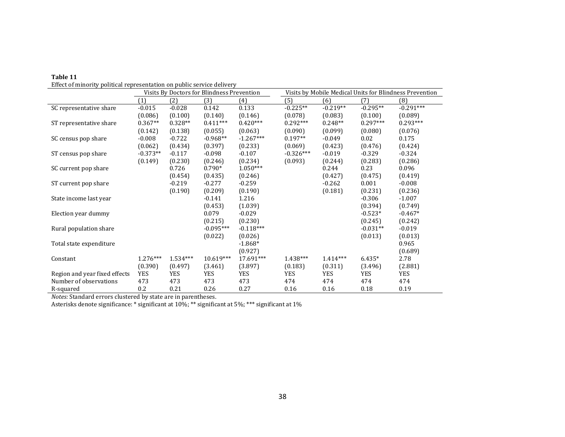|                               |            |            | Visits By Doctors for Blindness Prevention |             |             | Visits by Mobile Medical Units for Blindness Prevention |            |             |  |
|-------------------------------|------------|------------|--------------------------------------------|-------------|-------------|---------------------------------------------------------|------------|-------------|--|
|                               | (1)        | (2)        | (3)                                        | (4)         | (5)         | (6)                                                     | (7)        | (8)         |  |
| SC representative share       | $-0.015$   | $-0.028$   | 0.142                                      | 0.133       | $-0.225**$  | $-0.219**$                                              | $-0.295**$ | $-0.291***$ |  |
|                               | (0.086)    | (0.100)    | (0.140)                                    | (0.146)     | (0.078)     | (0.083)                                                 | (0.100)    | (0.089)     |  |
| ST representative share       | $0.367**$  | $0.328**$  | $0.411***$                                 | $0.420***$  | $0.292***$  | $0.248**$                                               | $0.297***$ | $0.293***$  |  |
|                               | (0.142)    | (0.138)    | (0.055)                                    | (0.063)     | (0.090)     | (0.099)                                                 | (0.080)    | (0.076)     |  |
| SC census pop share           | $-0.008$   | $-0.722$   | $-0.968**$                                 | $-1.267***$ | $0.197**$   | $-0.049$                                                | 0.02       | 0.175       |  |
|                               | (0.062)    | (0.434)    | (0.397)                                    | (0.233)     | (0.069)     | (0.423)                                                 | (0.476)    | (0.424)     |  |
| ST census pop share           | $-0.373**$ | $-0.117$   | $-0.098$                                   | $-0.107$    | $-0.326***$ | $-0.019$                                                | $-0.329$   | $-0.324$    |  |
|                               | (0.149)    | (0.230)    | (0.246)                                    | (0.234)     | (0.093)     | (0.244)                                                 | (0.283)    | (0.286)     |  |
| SC current pop share          |            | 0.726      | $0.790*$                                   | $1.050***$  |             | 0.244                                                   | 0.23       | 0.096       |  |
|                               |            | (0.454)    | (0.435)                                    | (0.246)     |             | (0.427)                                                 | (0.475)    | (0.419)     |  |
| ST current pop share          |            | $-0.219$   | $-0.277$                                   | $-0.259$    |             | $-0.262$                                                | 0.001      | $-0.008$    |  |
|                               |            | (0.190)    | (0.209)                                    | (0.190)     |             | (0.181)                                                 | (0.231)    | (0.236)     |  |
| State income last year        |            |            | $-0.141$                                   | 1.216       |             |                                                         | $-0.306$   | $-1.007$    |  |
|                               |            |            | (0.453)                                    | (1.039)     |             |                                                         | (0.394)    | (0.749)     |  |
| Election year dummy           |            |            | 0.079                                      | $-0.029$    |             |                                                         | $-0.523*$  | $-0.467*$   |  |
|                               |            |            | (0.215)                                    | (0.230)     |             |                                                         | (0.245)    | (0.242)     |  |
| Rural population share        |            |            | $-0.095***$                                | $-0.118***$ |             |                                                         | $-0.031**$ | $-0.019$    |  |
|                               |            |            | (0.022)                                    | (0.026)     |             |                                                         | (0.013)    | (0.013)     |  |
| Total state expenditure       |            |            |                                            | $-1.868*$   |             |                                                         |            | 0.965       |  |
|                               |            |            |                                            | (0.927)     |             |                                                         |            | (0.689)     |  |
| Constant                      | $1.276***$ | $1.534***$ | 10.619***                                  | 17.691***   | 1.438***    | $1.414***$                                              | $6.435*$   | 2.78        |  |
|                               | (0.390)    | (0.497)    | (3.461)                                    | (3.897)     | (0.183)     | (0.311)                                                 | (3.496)    | (2.881)     |  |
| Region and year fixed effects | <b>YES</b> | <b>YES</b> | YES                                        | <b>YES</b>  | <b>YES</b>  | YES                                                     | <b>YES</b> | <b>YES</b>  |  |
| Number of observations        | 473        | 473        | 473                                        | 473         | 474         | 474                                                     | 474        | 474         |  |
| R-squared                     | 0.2        | 0.21       | 0.26                                       | 0.27        | 0.16        | 0.16                                                    | 0.18       | 0.19        |  |

| Table 11                                                               |
|------------------------------------------------------------------------|
| Effect of minority political representation on public service delivery |

*Notes:* Standard errors clustered by state are in parentheses.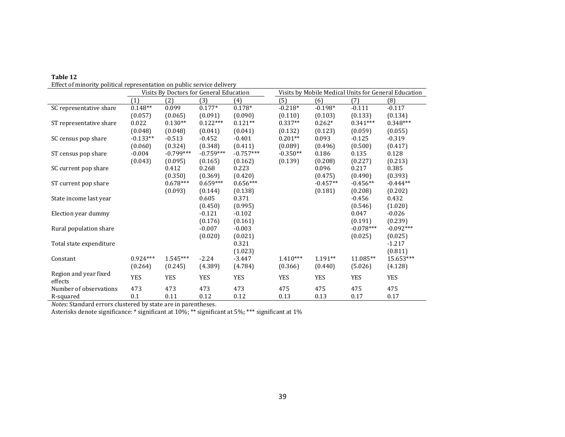| enced of minority pointical representation on pablic service activer |            | Visits By Doctors for General Education |             |             |            | Visits by Mobile Medical Units for General Education |             |             |  |
|----------------------------------------------------------------------|------------|-----------------------------------------|-------------|-------------|------------|------------------------------------------------------|-------------|-------------|--|
|                                                                      | (1)        | (2)                                     | (3)         | (4)         | (5)        | (6)                                                  | (7)         | (8)         |  |
| SC representative share                                              | $0.148**$  | 0.099                                   | $0.177*$    | $0.178*$    | $-0.218*$  | $-0.198*$                                            | $-0.111$    | $-0.117$    |  |
|                                                                      | (0.057)    | (0.065)                                 | (0.091)     | (0.090)     | (0.110)    | (0.103)                                              | (0.133)     | (0.134)     |  |
| ST representative share                                              | 0.022      | $0.130**$                               | $0.122***$  | $0.121**$   | $0.337**$  | $0.262*$                                             | $0.341***$  | $0.348***$  |  |
|                                                                      | (0.048)    | (0.048)                                 | (0.041)     | (0.041)     | (0.132)    | (0.123)                                              | (0.059)     | (0.055)     |  |
| SC census pop share                                                  | $-0.133**$ | $-0.513$                                | $-0.452$    | $-0.401$    | $0.201**$  | 0.093                                                | $-0.125$    | $-0.319$    |  |
|                                                                      | (0.060)    | (0.324)                                 | (0.348)     | (0.411)     | (0.089)    | (0.496)                                              | (0.500)     | (0.417)     |  |
| ST census pop share                                                  | $-0.004$   | $-0.799***$                             | $-0.759***$ | $-0.757***$ | $-0.350**$ | 0.186                                                | 0.135       | 0.128       |  |
|                                                                      | (0.043)    | (0.095)                                 | (0.165)     | (0.162)     | (0.139)    | (0.208)                                              | (0.227)     | (0.213)     |  |
| SC current pop share                                                 |            | 0.412                                   | 0.268       | 0.223       |            | 0.096                                                | 0.217       | 0.385       |  |
|                                                                      |            | (0.350)                                 | (0.369)     | (0.420)     |            | (0.475)                                              | (0.490)     | (0.393)     |  |
| ST current pop share                                                 |            | $0.678***$                              | $0.659***$  | $0.656***$  |            | $-0.457**$                                           | $-0.456**$  | $-0.444**$  |  |
|                                                                      |            | (0.093)                                 | (0.144)     | (0.138)     |            | (0.181)                                              | (0.208)     | (0.202)     |  |
| State income last year                                               |            |                                         | 0.605       | 0.371       |            |                                                      | $-0.456$    | 0.432       |  |
|                                                                      |            |                                         | (0.450)     | (0.995)     |            |                                                      | (0.546)     | (1.020)     |  |
| Election year dummy                                                  |            |                                         | $-0.121$    | $-0.102$    |            |                                                      | 0.047       | $-0.026$    |  |
|                                                                      |            |                                         | (0.176)     | (0.161)     |            |                                                      | (0.191)     | (0.239)     |  |
| Rural population share                                               |            |                                         | $-0.007$    | $-0.003$    |            |                                                      | $-0.078***$ | $-0.092***$ |  |
|                                                                      |            |                                         | (0.020)     | (0.021)     |            |                                                      | (0.025)     | (0.025)     |  |
| Total state expenditure                                              |            |                                         |             | 0.321       |            |                                                      |             | $-1.217$    |  |
|                                                                      |            |                                         |             | (1.023)     |            |                                                      |             | (0.811)     |  |
| Constant                                                             | $0.924***$ | $1.545***$                              | $-2.24$     | $-3.447$    | $1.410***$ | $1.191**$                                            | 11.085**    | 15.653***   |  |
|                                                                      | (0.264)    | (0.245)                                 | (4.389)     | (4.784)     | (0.366)    | (0.440)                                              | (5.026)     | (4.128)     |  |
| Region and year fixed<br>effects                                     | <b>YES</b> | <b>YES</b>                              | <b>YES</b>  | <b>YES</b>  | <b>YES</b> | <b>YES</b>                                           | <b>YES</b>  | <b>YES</b>  |  |
| Number of observations                                               | 473        | 473                                     | 473         | 473         | 475        | 475                                                  | 475         | 475         |  |
| R-squared                                                            | 0.1        | 0.11                                    | 0.12        | 0.12        | 0.13       | 0.13                                                 | 0.17        | 0.17        |  |

| Table 12                                                               |
|------------------------------------------------------------------------|
| Effect of minority political representation on public service delivery |

*Notes:* Standard errors clustered by state are in parentheses.